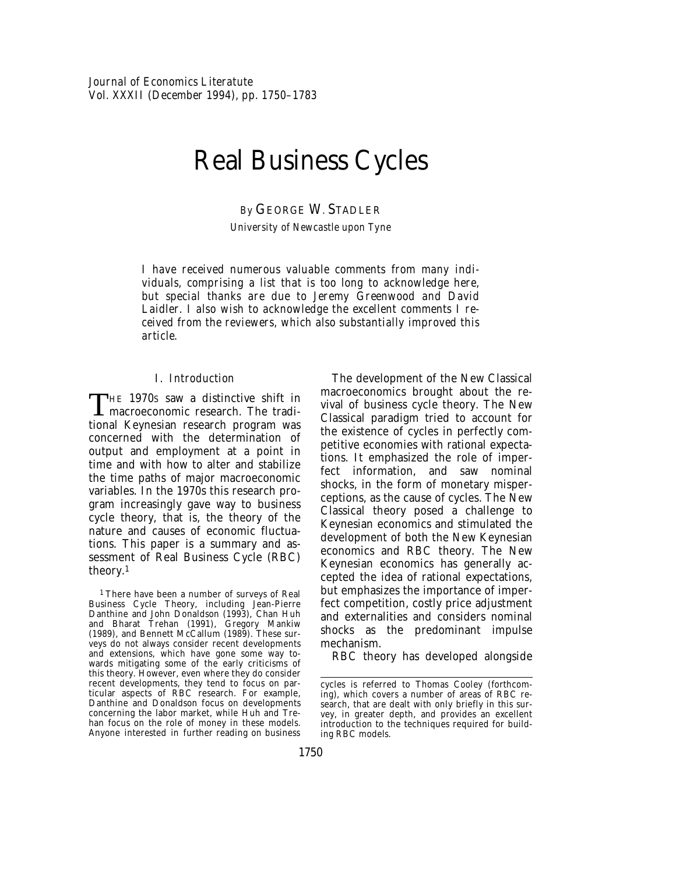# Real Business Cycles

*By* GEORGE W. STADLER

*University of Newcastle upon Tyne*

*I have received numerous valuable comments from many individuals, comprising a list that is too long to acknowledge here, but special thanks are due to Jeremy Greenwood and David Laidler. I also wish to acknowledge the excellent comments I received from the reviewers, which also substantially improved this article.*

#### I. *Introduction*

THE 1970s saw a distinctive shift in macroeconomic research. The traditional Keynesian research program was concerned with the determination of output and employment at a point in time and with how to alter and stabilize the time paths of major macroeconomic variables. In the 1970s this research program increasingly gave way to business cycle theory, that is, the theory of the nature and causes of economic fluctuations. This paper is a summary and assessment of Real Business Cycle (RBC) theory.1

1 There have been a number of surveys of Real Business Cycle Theory, including Jean-Pierre Danthine and John Donaldson (1993), Chan Huh and Bharat Trehan (1991), Gregory Mankiw (1989), and Bennett McCallum (1989). These surveys do not always consider recent developments and extensions, which have gone some way towards mitigating some of the early criticisms of this theory. However, even where they do consider recent developments, they tend to focus on particular aspects of RBC research. For example, Danthine and Donaldson focus on developments concerning the labor market, while Huh and Trehan focus on the role of money in these models. Anyone interested in further reading on business

The development of the New Classical macroeconomics brought about the revival of business cycle theory. The New Classical paradigm tried to account for the existence of cycles in perfectly competitive economies with rational expectations. It emphasized the role of imperfect information, and saw nominal shocks, in the form of monetary misperceptions, as the cause of cycles. The New Classical theory posed a challenge to Keynesian economics and stimulated the development of both the New Keynesian economics and RBC theory. The New Keynesian economics has generally accepted the idea of rational expectations, but emphasizes the importance of imperfect competition, costly price adjustment and externalities and considers nominal shocks as the predominant impulse mechanism.

RBC theory has developed alongside

cycles is referred to Thomas Cooley (forthcoming), which covers a number of areas of RBC research, that are dealt with only briefly in this survey, in greater depth, and provides an excellent introduction to the techniques required for building RBC models.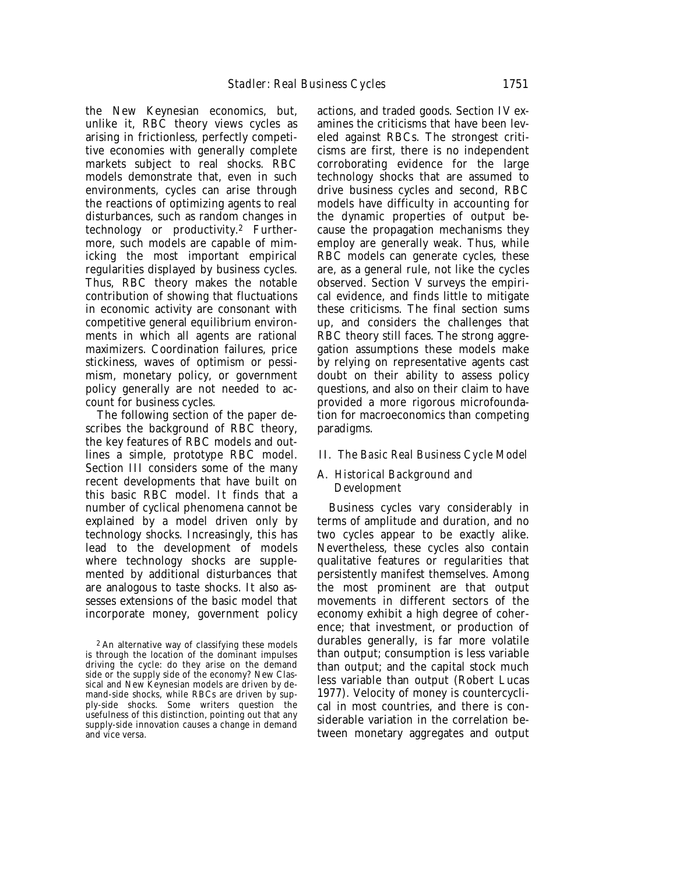the New Keynesian economics, but, unlike it, RBC theory views cycles as arising in frictionless, perfectly competitive economies with generally complete markets subject to real shocks. RBC models demonstrate that, even in such environments, cycles can arise through the reactions of optimizing agents to real disturbances, such as random changes in technology or productivity.2 Furthermore, such models are capable of mimicking the most important empirical regularities displayed by business cycles. Thus, RBC theory makes the notable contribution of showing that fluctuations in economic activity are consonant with competitive general equilibrium environments in which all agents are rational maximizers. Coordination failures, price stickiness, waves of optimism or pessimism, monetary policy, or government policy generally are not needed to account for business cycles.

The following section of the paper describes the background of RBC theory, the key features of RBC models and outlines a simple, prototype RBC model. Section III considers some of the many recent developments that have built on this basic RBC model. It finds that a number of cyclical phenomena cannot be explained by a model driven only by technology shocks. Increasingly, this has lead to the development of models where technology shocks are supplemented by additional disturbances that are analogous to taste shocks. It also assesses extensions of the basic model that incorporate money, government policy

actions, and traded goods. Section IV examines the criticisms that have been leveled against RBCs. The strongest criticisms are first, there is no independent corroborating evidence for the large technology shocks that are assumed to drive business cycles and second, RBC models have difficulty in accounting for the dynamic properties of output because the propagation mechanisms they employ are generally weak. Thus, while RBC models can generate cycles, these are, as a general rule, not like the cycles observed. Section V surveys the empirical evidence, and finds little to mitigate these criticisms. The final section sums up, and considers the challenges that RBC theory still faces. The strong aggregation assumptions these models make by relying on representative agents cast doubt on their ability to assess policy questions, and also on their claim to have provided a more rigorous microfoundation for macroeconomics than competing paradigms.

#### II*. The Basic Real Business Cycle Model*

# A. *Historical Background and Development*

Business cycles vary considerably in terms of amplitude and duration, and no two cycles appear to be exactly alike. Nevertheless, these cycles also contain qualitative features or regularities that persistently manifest themselves. Among the most prominent are that output movements in different sectors of the economy exhibit a high degree of coherence; that investment, or production of durables generally, is far more volatile than output; consumption is less variable than output; and the capital stock much less variable than output (Robert Lucas 1977). Velocity of money is countercyclical in most countries, and there is considerable variation in the correlation between monetary aggregates and output

<sup>2</sup> An alternative way of classifying these models is through the location of the dominant impulses driving the cycle: do they arise on the demand side or the supply side of the economy? New Classical and New Keynesian models are driven by demand-side shocks, while RBCs are driven by supply-side shocks. Some writers question the usefulness of this distinction, pointing out that any supply-side innovation causes a change in demand and vice versa.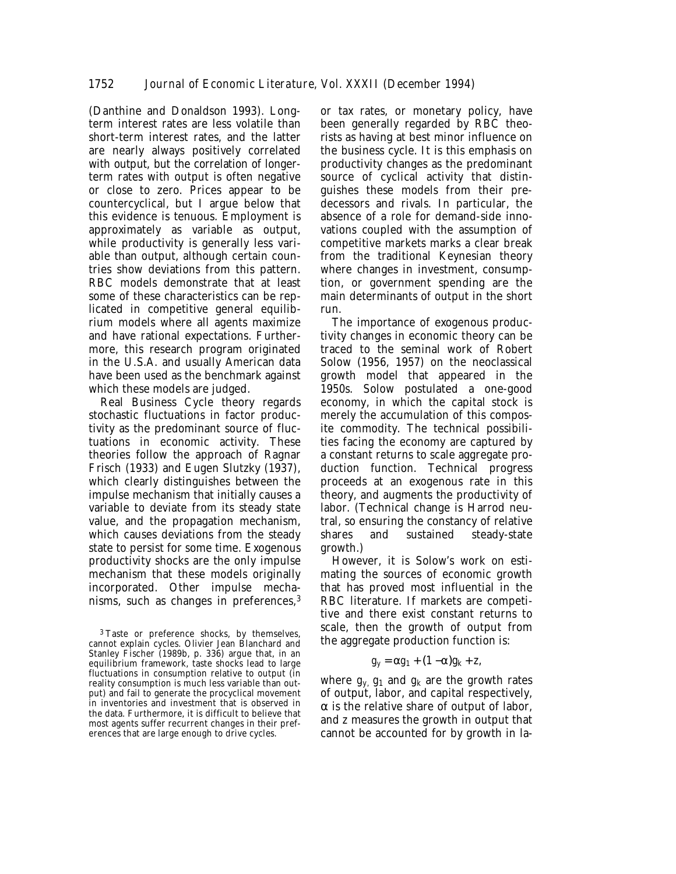(Danthine and Donaldson 1993). Longterm interest rates are less volatile than short-term interest rates, and the latter are nearly always positively correlated with output, but the correlation of longerterm rates with output is often negative or close to zero. Prices appear to be countercyclical, but I argue below that this evidence is tenuous. Employment is approximately as variable as output, while productivity is generally less variable than output, although certain countries show deviations from this pattern. RBC models demonstrate that at least some of these characteristics can be replicated in competitive general equilibrium models where all agents maximize and have rational expectations. Furthermore, this research program originated in the U.S.A. and usually American data have been used as the benchmark against which these models are judged.

Real Business Cycle theory regards stochastic fluctuations in factor productivity as the predominant source of fluctuations in economic activity. These theories follow the approach of Ragnar Frisch (1933) and Eugen Slutzky (1937), which clearly distinguishes between the impulse mechanism that initially causes a variable to deviate from its steady state value, and the propagation mechanism, which causes deviations from the steady state to persist for some time. Exogenous productivity shocks are the only impulse mechanism that these models originally incorporated. Other impulse mechanisms, such as changes in preferences,3

or tax rates, or monetary policy, have been generally regarded by RBC theorists as having at best minor influence on the business cycle. It is this emphasis on productivity changes as the predominant source of cyclical activity that distinguishes these models from their predecessors and rivals. In particular, the absence of a role for demand-side innovations coupled with the assumption of competitive markets marks a clear break from the traditional Keynesian theory where changes in investment, consumption, or government spending are the main determinants of output in the short run.

The importance of exogenous productivity changes in economic theory can be traced to the seminal work of Robert Solow (1956, 1957) on the neoclassical growth model that appeared in the 1950s. Solow postulated a one-good economy, in which the capital stock is merely the accumulation of this composite commodity. The technical possibilities facing the economy are captured by a constant returns to scale aggregate production function. Technical progress proceeds at an exogenous rate in this theory, and augments the productivity of labor. (Technical change is Harrod neutral, so ensuring the constancy of relative shares and sustained steady-state growth.)

However, it is Solow's work on estimating the sources of economic growth that has proved most influential in the RBC literature. If markets are competitive and there exist constant returns to scale, then the growth of output from the aggregate production function is:

$$
g_y = \alpha g_1 + (1 - \alpha)g_k + z,
$$

where  $g_y$   $g_1$  and  $g_k$  are the growth rates of output, labor, and capital respectively,  $\alpha$  is the relative share of output of labor, and *z* measures the growth in output that cannot be accounted for by growth in la-

<sup>&</sup>lt;sup>3</sup> Taste or preference shocks, by themselves, cannot explain cycles. Olivier Jean Blanchard and Stanley Fischer (1989b, p. 336) argue that, in an equilibrium framework, taste shocks lead to large fluctuations in consumption relative to output (in reality consumption is much less variable than output) and fail to generate the procyclical movement in inventories and investment that is observed in the data. Furthermore, it is difficult to believe that most agents suffer recurrent changes in their preferences that are large enough to drive cycles.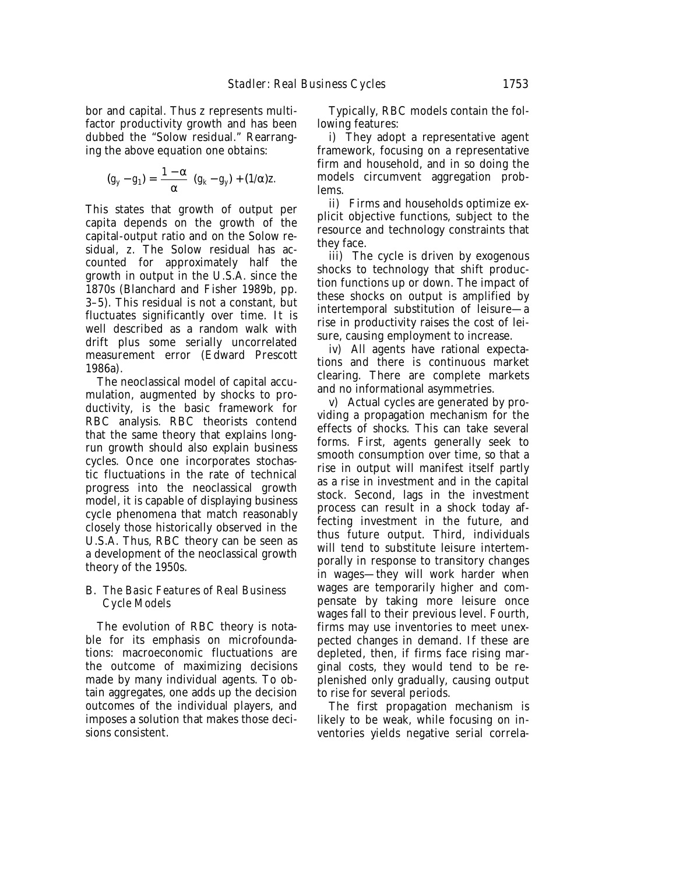bor and capital. Thus *z* represents multifactor productivity growth and has been dubbed the "Solow residual." Rearranging the above equation one obtains:

$$
(g_y - g_1) = \left(\frac{1 - \alpha}{\alpha}\right)(g_k - g_y) + (1/\alpha)z.
$$

This states that growth of output per capita depends on the growth of the capital-output ratio and on the Solow residual, *z*. The Solow residual has accounted for approximately half the growth in output in the U.S.A. since the 1870s (Blanchard and Fisher 1989b, pp. 3–5). This residual is not a constant, but fluctuates significantly over time. It is well described as a random walk with drift plus some serially uncorrelated measurement error (Edward Prescott 1986a).

The neoclassical model of capital accumulation, augmented by shocks to productivity, is the basic framework for RBC analysis. RBC theorists contend that the same theory that explains longrun growth should also explain business cycles. Once one incorporates stochastic fluctuations in the rate of technical progress into the neoclassical growth model, it is capable of displaying business cycle phenomena that match reasonably closely those historically observed in the U.S.A. Thus, RBC theory can be seen as a development of the neoclassical growth theory of the 1950s.

# B. *The Basic Features of Real Business Cycle Models*

The evolution of RBC theory is notable for its emphasis on microfoundations: macroeconomic fluctuations are the outcome of maximizing decisions made by many individual agents. To obtain aggregates, one adds up the decision outcomes of the individual players, and imposes a solution that makes those decisions consistent.

Typically, RBC models contain the following features:

i) They adopt a representative agent framework, focusing on a representative firm and household, and in so doing the models circumvent aggregation problems.

ii) Firms and households optimize explicit objective functions, subject to the resource and technology constraints that they face.

iii) The cycle is driven by exogenous shocks to technology that shift production functions up or down. The impact of these shocks on output is amplified by intertemporal substitution of leisure—a rise in productivity raises the cost of leisure, causing employment to increase.

iv) All agents have rational expectations and there is continuous market clearing. There are complete markets and no informational asymmetries.

v) Actual cycles are generated by providing a propagation mechanism for the effects of shocks. This can take several forms. First, agents generally seek to smooth consumption over time, so that a rise in output will manifest itself partly as a rise in investment and in the capital stock. Second, lags in the investment process can result in a shock today affecting investment in the future, and thus future output. Third, individuals will tend to substitute leisure intertemporally in response to transitory changes in wages—they will work harder when wages are temporarily higher and compensate by taking more leisure once wages fall to their previous level. Fourth, firms may use inventories to meet unexpected changes in demand. If these are depleted, then, if firms face rising marginal costs, they would tend to be replenished only gradually, causing output to rise for several periods.

The first propagation mechanism is likely to be weak, while focusing on inventories yields negative serial correla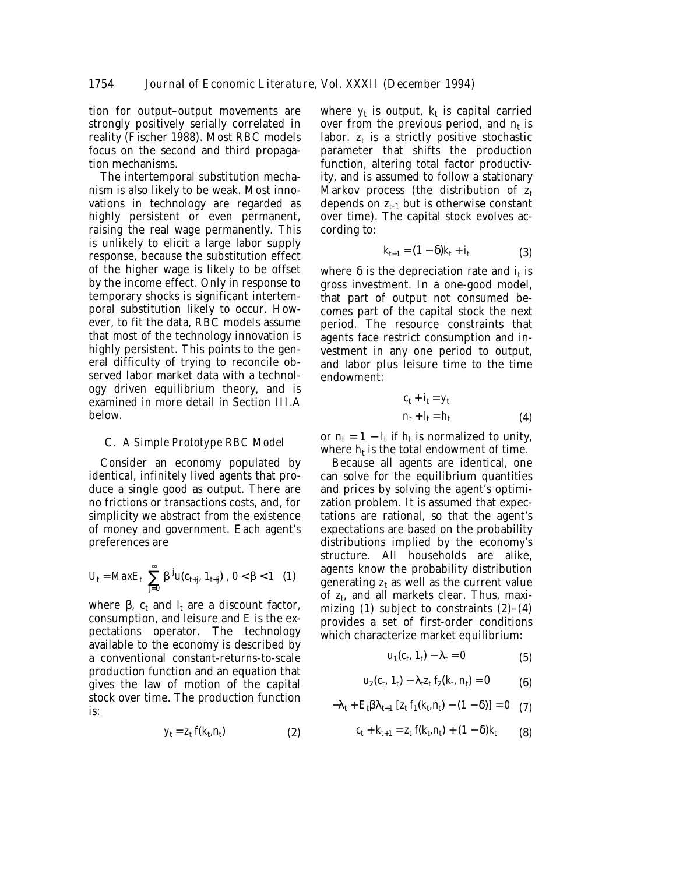tion for output–output movements are strongly positively serially correlated in reality (Fischer 1988). Most RBC models focus on the second and third propagation mechanisms.

The intertemporal substitution mechanism is also likely to be weak. Most innovations in technology are regarded as highly persistent or even permanent, raising the real wage permanently. This is unlikely to elicit a large labor supply response, because the substitution effect of the higher wage is likely to be offset by the income effect. Only in response to temporary shocks is significant intertemporal substitution likely to occur. However, to fit the data, RBC models assume that most of the technology innovation is highly persistent. This points to the general difficulty of trying to reconcile observed labor market data with a technology driven equilibrium theory, and is examined in more detail in Section III.A below.

#### C. *A Simple Prototype RBC Model*

Consider an economy populated by identical, infinitely lived agents that produce a single good as output. There are no frictions or transactions costs, and, for simplicity we abstract from the existence of money and government. Each agent's preferences are

$$
U_{t} = MaxE_{t} \left[ \sum_{j=0}^{\infty} \beta^{j} u(c_{t+j}, 1_{t+j}) \right], 0 < \beta < 1 \quad (1)
$$

where  $\beta$ ,  $c_t$  and  $l_t$  are a discount factor, consumption, and leisure and *E* is the expectations operator. The technology available to the economy is described by a conventional constant-returns-to-scale production function and an equation that gives the law of motion of the capital stock over time. The production function is:

 $y_t = z_t f(k_t, n_t)$  (2)

where  $y_t$  is output,  $k_t$  is capital carried over from the previous period, and  $n_t$  is labor.  $z_t$  is a strictly positive stochastic parameter that shifts the production function, altering total factor productivity, and is assumed to follow a stationary Markov process (the distribution of  $z_t$ depends on  $z_{t-1}$  but is otherwise constant over time). The capital stock evolves according to:

$$
k_{t+1} = (1 - \delta)k_t + i_t \tag{3}
$$

where  $\delta$  is the depreciation rate and  $i_t$  is gross investment. In a one-good model, that part of output not consumed becomes part of the capital stock the next period. The resource constraints that agents face restrict consumption and investment in any one period to output, and labor plus leisure time to the time endowment:

$$
c_t + i_t = y_t
$$
  
\n
$$
n_t + l_t = h_t
$$
 (4)

or  $n_t = 1 - l_t$  if  $h_t$  is normalized to unity, where  $h_t$  is the total endowment of time.

Because all agents are identical, one can solve for the equilibrium quantities and prices by solving the agent's optimization problem. It is assumed that expectations are rational, so that the agent's expectations are based on the probability distributions implied by the economy's structure. All households are alike, agents know the probability distribution generating  $z_t$  as well as the current value of *zt*, and all markets clear. Thus, maximizing (1) subject to constraints  $(2)-(4)$ provides a set of first-order conditions which characterize market equilibrium:

$$
u_1(c_t, 1_t) - \lambda_t = 0 \tag{5}
$$

$$
u_2(c_t, 1_t) - \lambda_t z_t f_2(k_t, n_t) = 0 \tag{6}
$$

$$
-\lambda_t + E_t \beta \lambda_{t+1} \left[ z_t f_1(k_t, n_t) - (1 - \delta) \right] = 0 \quad (7)
$$

$$
c_t + k_{t+1} = z_t f(k_t, n_t) + (1 - \delta) k_t \tag{8}
$$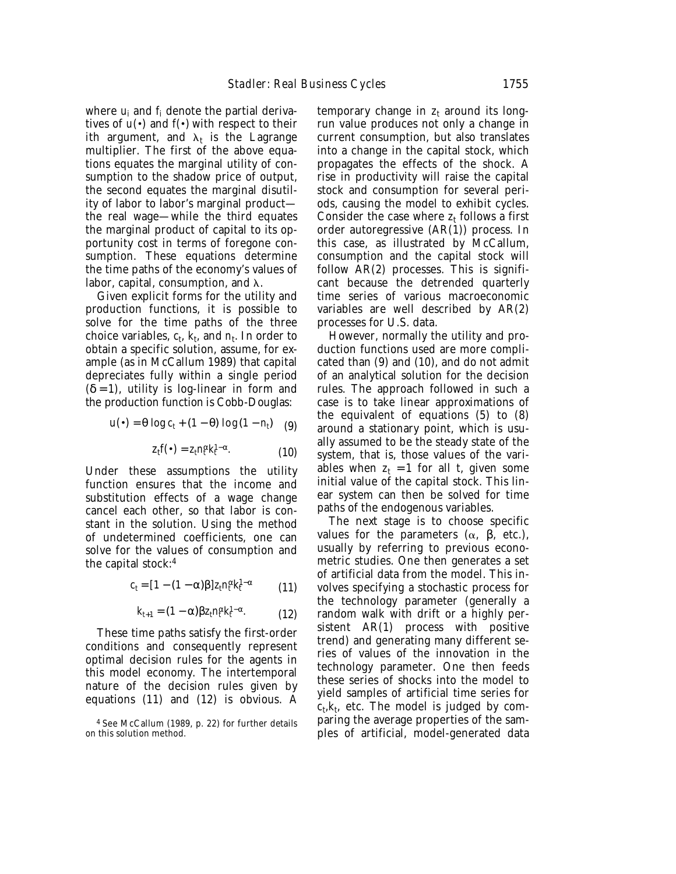where *ui* and *fi* denote the partial derivatives of  $u(\cdot)$  and  $f(\cdot)$  with respect to their *i*th argument, and  $\lambda_t$  is the Lagrange multiplier. The first of the above equations equates the marginal utility of consumption to the shadow price of output, the second equates the marginal disutility of labor to labor's marginal product the real wage—while the third equates the marginal product of capital to its opportunity cost in terms of foregone consumption. These equations determine the time paths of the economy's values of labor, capital, consumption, and  $\lambda$ .

Given explicit forms for the utility and production functions, it is possible to solve for the time paths of the three choice variables,  $c_t$ ,  $k_t$ , and  $n_t$ . In order to obtain a specific solution, assume, for example (as in McCallum 1989) that capital depreciates fully within a single period  $(\delta = 1)$ , utility is log-linear in form and the production function is Cobb-Douglas:

$$
u(\bullet) = \theta \log c_t + (1 - \theta) \log (1 - n_t) \quad (9)
$$

$$
z_t f(\bullet) = z_t n_t^{\alpha} k_t^{1-\alpha}.
$$
 (10)

Under these assumptions the utility function ensures that the income and substitution effects of a wage change cancel each other, so that labor is constant in the solution. Using the method of undetermined coefficients, one can solve for the values of consumption and the capital stock:4

$$
c_t = [1 - (1 - \alpha)\beta]z_t n_t^{\alpha} k_t^{1 - \alpha} \tag{11}
$$

$$
k_{t+1} = (1 - \alpha) \beta z_t n_t^{\alpha} k_t^{1-\alpha}.
$$
 (12)

These time paths satisfy the first-order conditions and consequently represent optimal decision rules for the agents in this model economy. The intertemporal nature of the decision rules given by equations (11) and (12) is obvious. A

temporary change in  $z_t$  around its longrun value produces not only a change in current consumption, but also translates into a change in the capital stock, which propagates the effects of the shock. A rise in productivity will raise the capital stock and consumption for several periods, causing the model to exhibit cycles. Consider the case where  $z<sub>t</sub>$  follows a first order autoregressive (AR(1)) process. In this case, as illustrated by McCallum, consumption and the capital stock will follow AR(2) processes. This is significant because the detrended quarterly time series of various macroeconomic variables are well described by AR(2) processes for U.S. data.

However, normally the utility and production functions used are more complicated than (9) and (10), and do not admit of an analytical solution for the decision rules. The approach followed in such a case is to take linear approximations of the equivalent of equations (5) to (8) around a stationary point, which is usually assumed to be the steady state of the system, that is, those values of the variables when  $z_t = 1$  for all *t*, given some initial value of the capital stock. This linear system can then be solved for time paths of the endogenous variables.

The next stage is to choose specific values for the parameters  $(α, β, etc.),$ usually by referring to previous econometric studies. One then generates a set of artificial data from the model. This involves specifying a stochastic process for the technology parameter (generally a random walk with drift or a highly persistent AR(1) process with positive trend) and generating many different series of values of the innovation in the technology parameter. One then feeds these series of shocks into the model to yield samples of artificial time series for  $c_t, k_t$ , etc. The model is judged by comparing the average properties of the samples of artificial, model-generated data

<sup>4</sup> See McCallum (1989, p. 22) for further details on this solution method.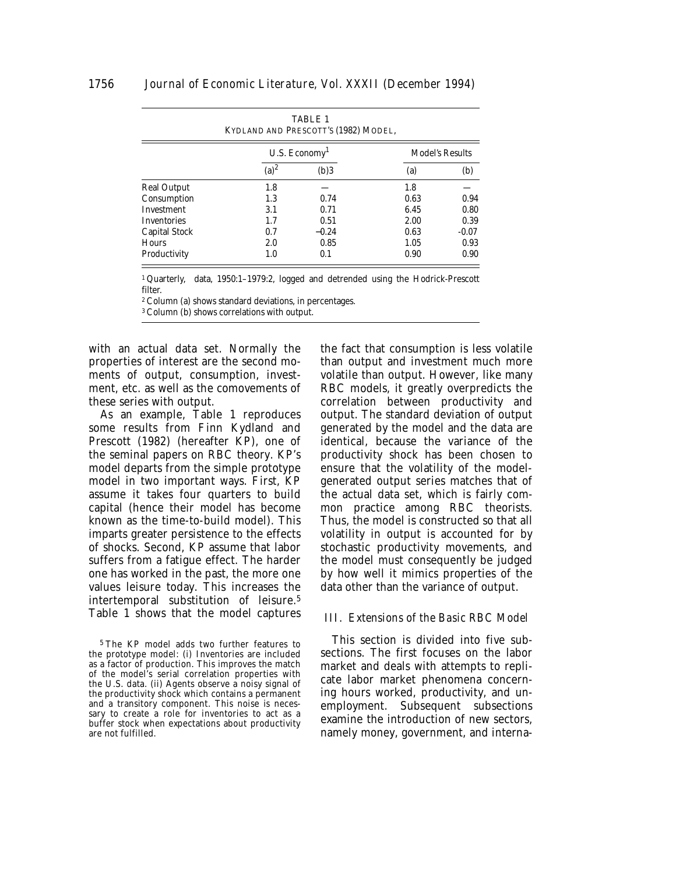| <b>TABLE 1</b><br>KYDLAND AND PRESCOTT'S (1982) MODEL, |                             |         |                        |         |  |
|--------------------------------------------------------|-----------------------------|---------|------------------------|---------|--|
|                                                        | $U.S.$ Economy <sup>1</sup> |         | <b>Model's Results</b> |         |  |
|                                                        | $(a)^2$                     | (b)3    | (a)                    | (b)     |  |
| <b>Real Output</b>                                     | 1.8                         |         | 1.8                    |         |  |
| Consumption                                            | 1.3                         | 0.74    | 0.63                   | 0.94    |  |
| <b>Investment</b>                                      | 3.1                         | 0.71    | 6.45                   | 0.80    |  |
| <b>Inventories</b>                                     | 1.7                         | 0.51    | 2.00                   | 0.39    |  |
| <b>Capital Stock</b>                                   | 0.7                         | $-0.24$ | 0.63                   | $-0.07$ |  |
| <b>Hours</b>                                           | 2.0                         | 0.85    | 1.05                   | 0.93    |  |
| Productivity                                           | 1.0                         | 0.1     | 0.90                   | 0.90    |  |

1 Quarterly, data, 1950:1–1979:2, logged and detrended using the Hodrick-Prescott filter.

2 Column (a) shows standard deviations, in percentages.

3 Column (b) shows correlations with output.

with an actual data set. Normally the properties of interest are the second moments of output, consumption, investment, etc. as well as the comovements of these series with output.

As an example, Table 1 reproduces some results from Finn Kydland and Prescott (1982) (hereafter KP), one of the seminal papers on RBC theory. KP's model departs from the simple prototype model in two important ways. First, KP assume it takes four quarters to build capital (hence their model has become known as the time-to-build model). This imparts greater persistence to the effects of shocks. Second, KP assume that labor suffers from a fatigue effect. The harder one has worked in the past, the more one values leisure today. This increases the intertemporal substitution of leisure.5 Table 1 shows that the model captures

5 The KP model adds two further features to the prototype model: (i) Inventories are included as a factor of production. This improves the match of the model's serial correlation properties with the U.S. data. (ii) Agents observe a noisy signal of the productivity shock which contains a permanent and a transitory component. This noise is necessary to create a role for inventories to act as a buffer stock when expectations about productivity are not fulfilled.

the fact that consumption is less volatile than output and investment much more volatile than output. However, like many RBC models, it greatly overpredicts the correlation between productivity and output. The standard deviation of output generated by the model and the data are identical, because the variance of the productivity shock has been chosen to ensure that the volatility of the modelgenerated output series matches that of the actual data set, which is fairly common practice among RBC theorists. Thus, the model is constructed so that all volatility in output is accounted for by stochastic productivity movements, and the model must consequently be judged by how well it mimics properties of the data other than the variance of output.

#### III. *Extensions of the Basic RBC Model*

This section is divided into five subsections. The first focuses on the labor market and deals with attempts to replicate labor market phenomena concerning hours worked, productivity, and unemployment. Subsequent subsections examine the introduction of new sectors, namely money, government, and interna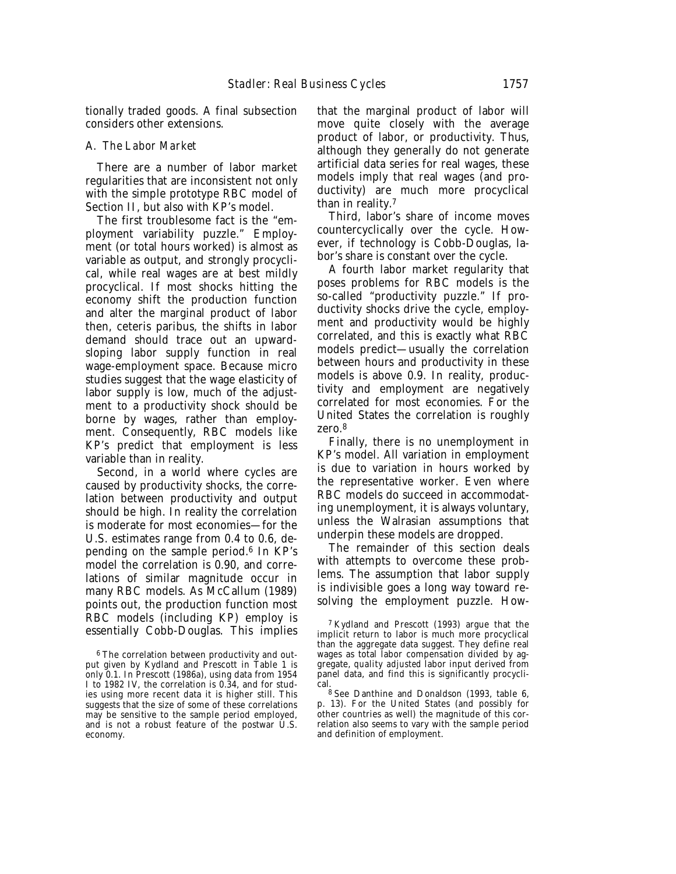tionally traded goods. A final subsection considers other extensions.

#### A. *The Labor Market*

There are a number of labor market regularities that are inconsistent not only with the simple prototype RBC model of Section II, but also with KP's model.

The first troublesome fact is the "employment variability puzzle." Employment (or total hours worked) is almost as variable as output, and strongly procyclical, while real wages are at best mildly procyclical. If most shocks hitting the economy shift the production function and alter the marginal product of labor then, ceteris paribus, the shifts in labor demand should trace out an upwardsloping labor supply function in real wage-employment space. Because micro studies suggest that the wage elasticity of labor supply is low, much of the adjustment to a productivity shock should be borne by wages, rather than employment. Consequently, RBC models like KP's predict that employment is less variable than in reality.

Second, in a world where cycles are caused by productivity shocks, the correlation between productivity and output should be high. In reality the correlation is moderate for most economies—for the U.S. estimates range from 0.4 to 0.6, depending on the sample period.6 In KP's model the correlation is 0.90, and correlations of similar magnitude occur in many RBC models. As McCallum (1989) points out, the production function most RBC models (including KP) employ is essentially Cobb-Douglas. This implies that the marginal product of labor will move quite closely with the average product of labor, or productivity. Thus, although they generally do not generate artificial data series for real wages, these models imply that real wages (and productivity) are much more procyclical than in reality.7

Third, labor's share of income moves countercyclically over the cycle. However, if technology is Cobb-Douglas, labor's share is constant over the cycle.

A fourth labor market regularity that poses problems for RBC models is the so-called "productivity puzzle." If productivity shocks drive the cycle, employment and productivity would be highly correlated, and this is exactly what RBC models predict—usually the correlation between hours and productivity in these models is above 0.9. In reality, productivity and employment are negatively correlated for most economies. For the United States the correlation is roughly zero.8

Finally, there is no unemployment in KP's model. All variation in employment is due to variation in hours worked by the representative worker. Even where RBC models do succeed in accommodating unemployment, it is always voluntary, unless the Walrasian assumptions that underpin these models are dropped.

The remainder of this section deals with attempts to overcome these problems. The assumption that labor supply is indivisible goes a long way toward resolving the employment puzzle. How-

<sup>6</sup> The correlation between productivity and output given by Kydland and Prescott in Table 1 is only 0.1. In Prescott (1986a), using data from 1954 I to 1982 IV, the correlation is 0.34, and for studies using more recent data it is higher still. This suggests that the size of some of these correlations may be sensitive to the sample period employed, and is not a robust feature of the postwar U.S. economy.

<sup>7</sup> Kydland and Prescott (1993) argue that the implicit return to labor is much more procyclical than the aggregate data suggest. They define real wages as total labor compensation divided by aggregate, *quality adjusted* labor input derived from panel data, and find this is significantly procyclical.

<sup>8</sup> See Danthine and Donaldson (1993, table 6, p. 13). For the United States (and possibly for other countries as well) the magnitude of this correlation also seems to vary with the sample period and definition of employment.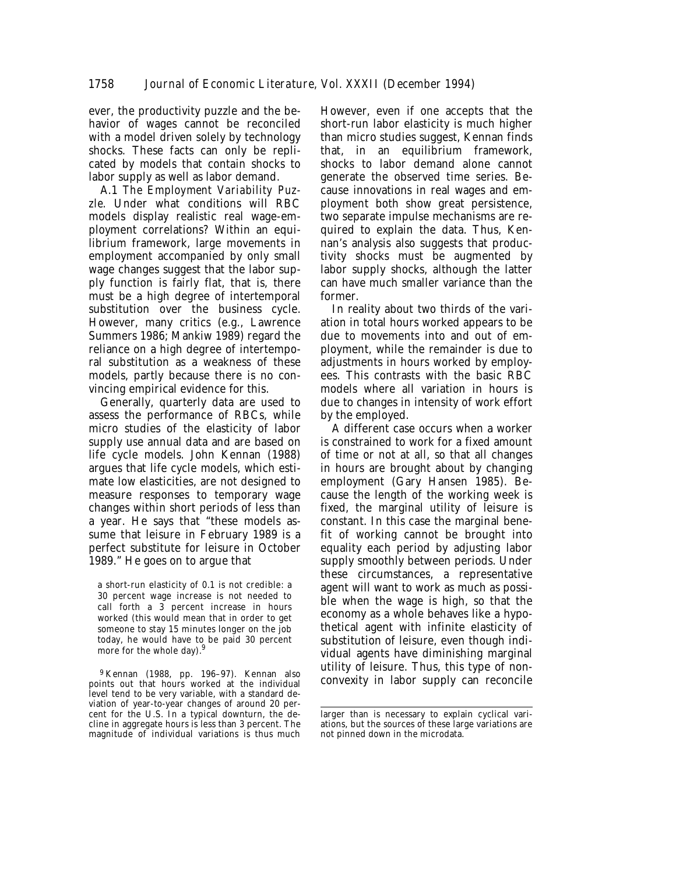ever, the productivity puzzle and the behavior of wages cannot be reconciled with a model driven solely by technology shocks. These facts can only be replicated by models that contain shocks to labor supply as well as labor demand.

A.1 *The Employment Variability Puzzle*. Under what conditions will RBC models display realistic real wage-employment correlations? Within an equilibrium framework, large movements in employment accompanied by only small wage changes suggest that the labor supply function is fairly flat, that is, there must be a high degree of intertemporal substitution over the business cycle. However, many critics (e.g., Lawrence Summers 1986; Mankiw 1989) regard the reliance on a high degree of intertemporal substitution as a weakness of these models, partly because there is no convincing empirical evidence for this.

Generally, quarterly data are used to assess the performance of RBCs, while micro studies of the elasticity of labor supply use annual data and are based on life cycle models. John Kennan (1988) argues that life cycle models, which estimate low elasticities, are not designed to measure responses to temporary wage changes within short periods of less than a year. He says that "these models assume that leisure in February 1989 is a perfect substitute for leisure in October 1989." He goes on to argue that

a short-run elasticity of 0.1 is not credible: a 30 percent wage increase is not needed to call forth a 3 percent increase in hours worked (this would mean that in order to get someone to stay 15 minutes longer on the job today, he would have to be paid 30 percent more for the whole day).<sup>9</sup>

9 Kennan (1988, pp. 196–97). Kennan also points out that hours worked at the individual level tend to be very variable, with a standard deviation of year-to-year changes of around 20 percent for the U.S. In a typical downturn, the decline in aggregate hours is less than 3 percent. The magnitude of individual variations is thus much

However, even if one accepts that the short-run labor elasticity is much higher than micro studies suggest, Kennan finds that, in an equilibrium framework, shocks to labor demand alone cannot generate the observed time series. Because innovations in real wages and employment both show great persistence, two separate impulse mechanisms are required to explain the data. Thus, Kennan's analysis also suggests that productivity shocks must be augmented by labor supply shocks, although the latter can have much smaller variance than the former.

In reality about two thirds of the variation in total hours worked appears to be due to movements into and out of employment, while the remainder is due to adjustments in hours worked by employees. This contrasts with the basic RBC models where all variation in hours is due to changes in intensity of work effort by the employed.

A different case occurs when a worker is constrained to work for a fixed amount of time or not at all, so that all changes in hours are brought about by changing employment (Gary Hansen 1985). Because the length of the working week is fixed, the marginal utility of leisure is constant. In this case the marginal benefit of working cannot be brought into equality each period by adjusting labor supply smoothly between periods. Under these circumstances, a representative agent will want to work as much as possible when the wage is high, so that the economy as a whole behaves like a hypothetical agent with infinite elasticity of substitution of leisure, even though individual agents have diminishing marginal utility of leisure. Thus, this type of nonconvexity in labor supply can reconcile

larger than is necessary to explain cyclical variations, but the sources of these large variations are not pinned down in the microdata.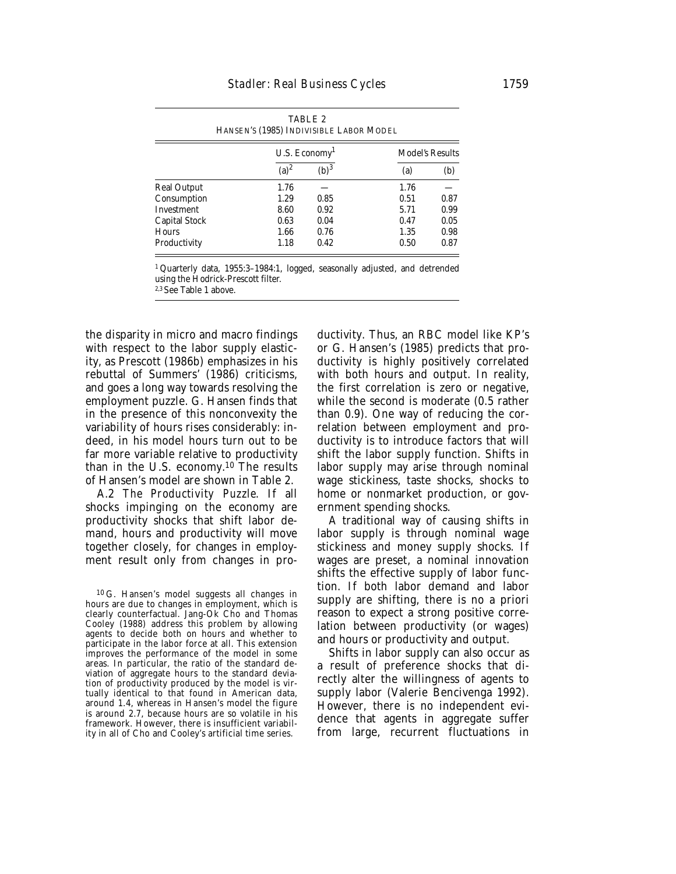| TABLE 2<br>HANSEN'S (1985) INDIVISIBLE LABOR MODEL |                            |                  |                        |      |
|----------------------------------------------------|----------------------------|------------------|------------------------|------|
|                                                    | U.S. $E_{\text{conomy}}^1$ |                  | <b>Model's Results</b> |      |
|                                                    | $(a)^2$                    | (b) <sup>3</sup> | (a)                    | (b)  |
| <b>Real Output</b>                                 | 1.76                       |                  | 1.76                   |      |
| Consumption                                        | 1.29                       | 0.85             | 0.51                   | 0.87 |
| <b>Investment</b>                                  | 8.60                       | 0.92             | 5.71                   | 0.99 |
| <b>Capital Stock</b>                               | 0.63                       | 0.04             | 0.47                   | 0.05 |
| <b>Hours</b>                                       | 1.66                       | 0.76             | 1.35                   | 0.98 |
| Productivity                                       | 1.18                       | 0.42             | 0.50                   | 0.87 |

1 Quarterly data, 1955:3–1984:1, logged, seasonally adjusted, and detrended using the Hodrick-Prescott filter. 2,3 See Table 1 above.

the disparity in micro and macro findings with respect to the labor supply elasticity, as Prescott (1986b) emphasizes in his rebuttal of Summers' (1986) criticisms, and goes a long way towards resolving the employment puzzle. G. Hansen finds that in the presence of this nonconvexity the variability of hours rises considerably: indeed, in his model hours turn out to be far more variable relative to productivity than in the U.S. economy.10 The results of Hansen's model are shown in Table 2.

A.2 *The Productivity Puzzle*. If all shocks impinging on the economy are productivity shocks that shift labor demand, hours and productivity will move together closely, for changes in employment result only from changes in pro-

10 G. Hansen's model suggests all changes in hours are due to changes in employment, which is clearly counterfactual. Jang-Ok Cho and Thomas Cooley (1988) address this problem by allowing agents to decide both on hours and whether to participate in the labor force at all. This extension improves the performance of the model in some areas. In particular, the ratio of the standard deviation of aggregate hours to the standard deviation of productivity produced by the model is virtually identical to that found in American data, around 1.4, whereas in Hansen's model the figure is around 2.7, because hours are so volatile in his framework. However, there is insufficient variability in all of Cho and Cooley's artificial time series.

ductivity. Thus, an RBC model like KP's or G. Hansen's (1985) predicts that productivity is highly positively correlated with both hours and output. In reality, the first correlation is zero or negative, while the second is moderate (0.5 rather than 0.9). One way of reducing the correlation between employment and productivity is to introduce factors that will shift the labor supply function. Shifts in labor supply may arise through nominal wage stickiness, taste shocks, shocks to home or nonmarket production, or government spending shocks.

A traditional way of causing shifts in labor supply is through nominal wage stickiness and money supply shocks. If wages are preset, a nominal innovation shifts the effective supply of labor function. If both labor demand and labor supply are shifting, there is no a priori reason to expect a strong positive correlation between productivity (or wages) and hours or productivity and output.

Shifts in labor supply can also occur as a result of preference shocks that directly alter the willingness of agents to supply labor (Valerie Bencivenga 1992). However, there is no independent evidence that agents in aggregate suffer from large, recurrent fluctuations in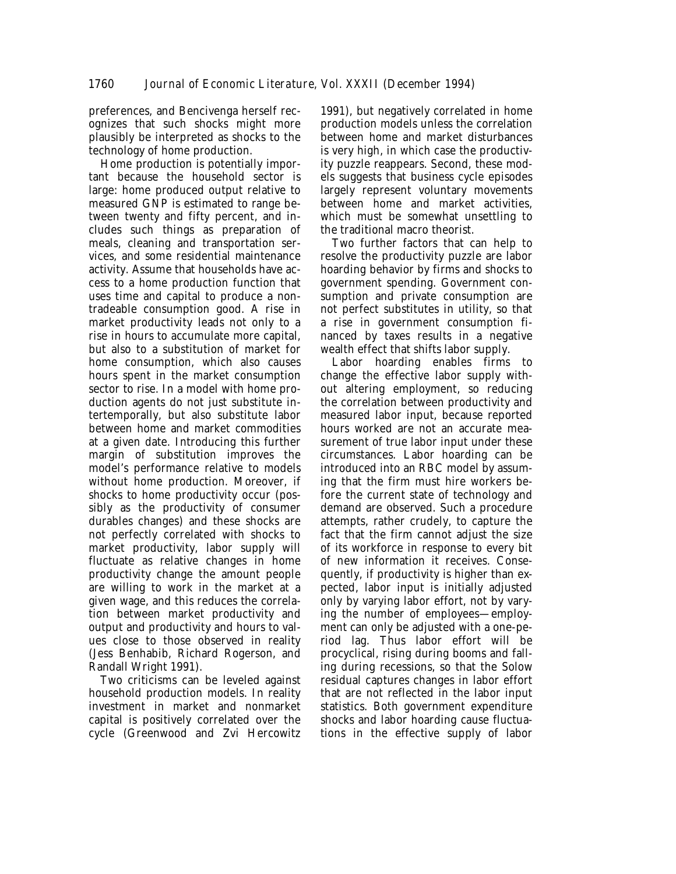preferences, and Bencivenga herself recognizes that such shocks might more plausibly be interpreted as shocks to the technology of home production.

Home production is potentially important because the household sector is large: home produced output relative to measured GNP is estimated to range between twenty and fifty percent, and includes such things as preparation of meals, cleaning and transportation services, and some residential maintenance activity. Assume that households have access to a home production function that uses time and capital to produce a nontradeable consumption good. A rise in market productivity leads not only to a rise in hours to accumulate more capital, but also to a substitution of market for home consumption, which also causes hours spent in the market consumption sector to rise. In a model with home production agents do not just substitute intertemporally, but also substitute labor between home and market commodities at a given date. Introducing this further margin of substitution improves the model's performance relative to models without home production. Moreover, if shocks to home productivity occur (possibly as the productivity of consumer durables changes) and these shocks are not perfectly correlated with shocks to market productivity, labor supply will fluctuate as relative changes in home productivity change the amount people are willing to work in the market at a given wage, and this reduces the correlation between market productivity and output and productivity and hours to values close to those observed in reality (Jess Benhabib, Richard Rogerson, and Randall Wright 1991).

Two criticisms can be leveled against household production models. In reality investment in market and nonmarket capital is positively correlated over the cycle (Greenwood and Zvi Hercowitz

1991), but negatively correlated in home production models unless the correlation between home and market disturbances is very high, in which case the productivity puzzle reappears. Second, these models suggests that business cycle episodes largely represent voluntary movements between home and market activities, which must be somewhat unsettling to the traditional macro theorist.

Two further factors that can help to resolve the productivity puzzle are labor hoarding behavior by firms and shocks to government spending. Government consumption and private consumption are not perfect substitutes in utility, so that a rise in government consumption financed by taxes results in a negative wealth effect that shifts labor supply.

Labor hoarding enables firms to change the effective labor supply without altering employment, so reducing the correlation between productivity and measured labor input, because reported hours worked are not an accurate measurement of true labor input under these circumstances. Labor hoarding can be introduced into an RBC model by assuming that the firm must hire workers before the current state of technology and demand are observed. Such a procedure attempts, rather crudely, to capture the fact that the firm cannot adjust the size of its workforce in response to every bit of new information it receives. Consequently, if productivity is higher than expected, labor input is initially adjusted only by varying labor effort, not by varying the number of employees—employment can only be adjusted with a one-period lag. Thus labor effort will be procyclical, rising during booms and falling during recessions, so that the Solow residual captures changes in labor effort that are not reflected in the labor input statistics. Both government expenditure shocks and labor hoarding cause fluctuations in the effective supply of labor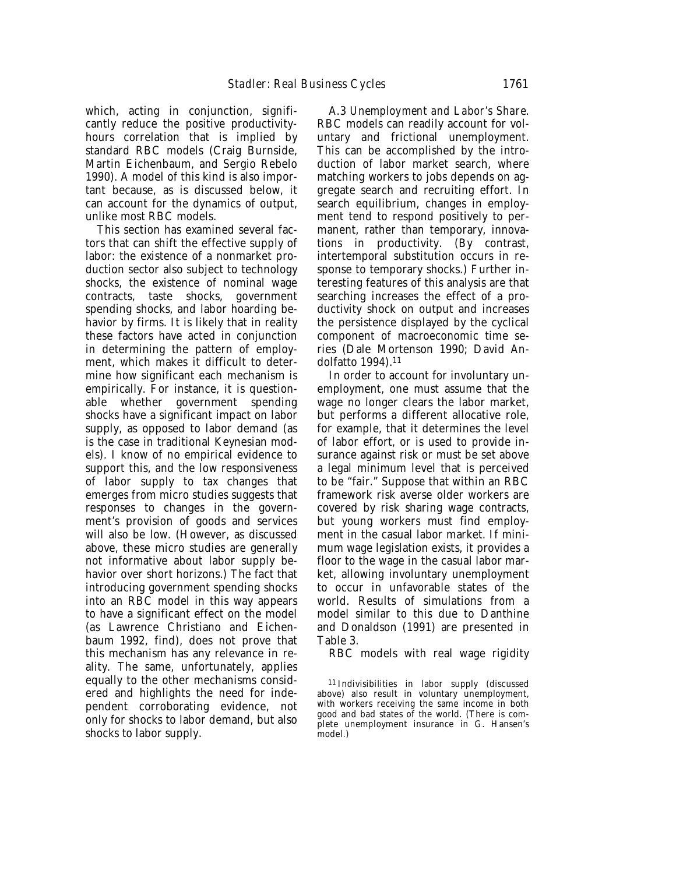which, acting in conjunction, significantly reduce the positive productivityhours correlation that is implied by standard RBC models (Craig Burnside, Martin Eichenbaum, and Sergio Rebelo 1990). A model of this kind is also important because, as is discussed below, it can account for the dynamics of output, unlike most RBC models.

This section has examined several factors that can shift the effective supply of labor: the existence of a nonmarket production sector also subject to technology shocks, the existence of nominal wage contracts, taste shocks, government spending shocks, and labor hoarding behavior by firms. It is likely that in reality these factors have acted in conjunction in determining the pattern of employment, which makes it difficult to determine how significant each mechanism is empirically. For instance, it is questionable whether government spending shocks have a significant impact on labor supply, as opposed to labor demand (as is the case in traditional Keynesian models). I know of no empirical evidence to support this, and the low responsiveness of labor supply to tax changes that emerges from micro studies suggests that responses to changes in the government's provision of goods and services will also be low. (However, as discussed above, these micro studies are generally not informative about labor supply behavior over short horizons.) The fact that introducing government spending shocks into an RBC model in this way appears to have a significant effect on the model (as Lawrence Christiano and Eichenbaum 1992, find), does not prove that this mechanism has any relevance in reality. The same, unfortunately, applies equally to the other mechanisms considered and highlights the need for independent corroborating evidence, not only for shocks to labor demand, but also shocks to labor supply.

A.3 *Unemployment and Labor's Share*. RBC models can readily account for voluntary and frictional unemployment. This can be accomplished by the introduction of labor market search, where matching workers to jobs depends on aggregate search and recruiting effort. In search equilibrium, changes in employment tend to respond positively to permanent, rather than temporary, innovations in productivity. (By contrast, intertemporal substitution occurs in response to temporary shocks.) Further interesting features of this analysis are that searching increases the effect of a productivity shock on output and increases the persistence displayed by the cyclical component of macroeconomic time series (Dale Mortenson 1990; David Andolfatto 1994).11

In order to account for involuntary unemployment, one must assume that the wage no longer clears the labor market, but performs a different allocative role, for example, that it determines the level of labor effort, or is used to provide insurance against risk or must be set above a legal minimum level that is perceived to be "fair." Suppose that within an RBC framework risk averse older workers are covered by risk sharing wage contracts, but young workers must find employment in the casual labor market. If minimum wage legislation exists, it provides a floor to the wage in the casual labor market, allowing involuntary unemployment to occur in unfavorable states of the world. Results of simulations from a model similar to this due to Danthine and Donaldson (1991) are presented in Table 3.

RBC models with real wage rigidity

11 Indivisibilities in labor supply (discussed above) also result in voluntary unemployment, with workers receiving the same income in both good and bad states of the world. (There is complete unemployment insurance in G. Hansen's model.)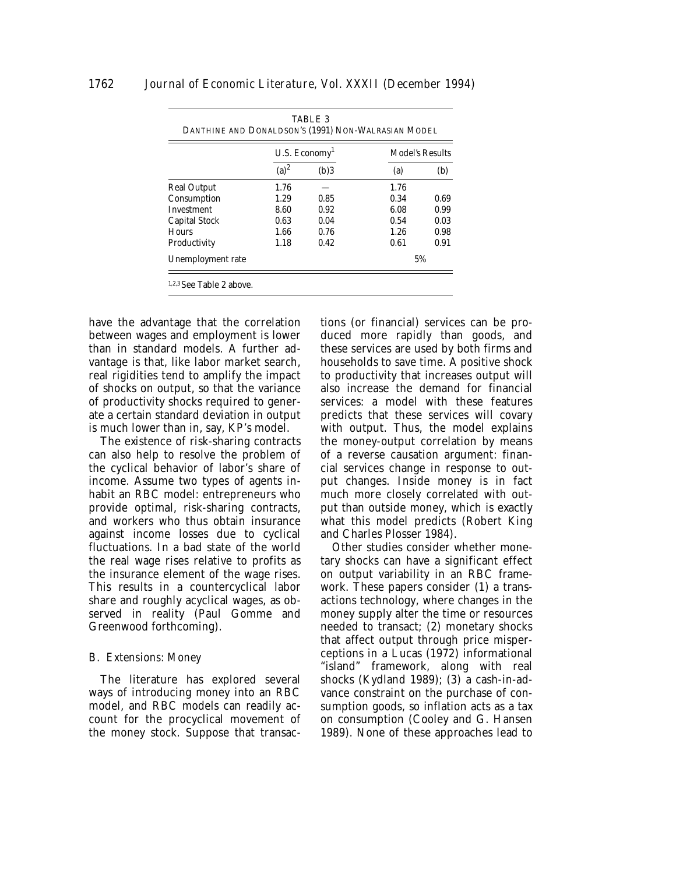|                    | U.S. Economy <sup>1</sup> |      | <b>Model's Results</b> |      |
|--------------------|---------------------------|------|------------------------|------|
|                    | $(a)^2$                   | (b)3 | (a)                    | (b)  |
| <b>Real Output</b> | 1.76                      |      | 1.76                   |      |
| Consumption        | 1.29                      | 0.85 | 0.34                   | 0.69 |
| <b>Investment</b>  | 8.60                      | 0.92 | 6.08                   | 0.99 |
| Capital Stock      | 0.63                      | 0.04 | 0.54                   | 0.03 |
| Hours              | 1.66                      | 0.76 | 1.26                   | 0.98 |
| Productivity       | 1.18                      | 0.42 | 0.61                   | 0.91 |
| Unemployment rate  |                           |      | 5%                     |      |

have the advantage that the correlation between wages and employment is lower than in standard models. A further advantage is that, like labor market search, real rigidities tend to amplify the impact of shocks on output, so that the variance of productivity shocks required to generate a certain standard deviation in output is much lower than in, say, KP's model.

The existence of risk-sharing contracts can also help to resolve the problem of the cyclical behavior of labor's share of income. Assume two types of agents inhabit an RBC model: entrepreneurs who provide optimal, risk-sharing contracts, and workers who thus obtain insurance against income losses due to cyclical fluctuations. In a bad state of the world the real wage rises relative to profits as the insurance element of the wage rises. This results in a countercyclical labor share and roughly acyclical wages, as observed in reality (Paul Gomme and Greenwood forthcoming).

#### B. *Extensions: Money*

The literature has explored several ways of introducing money into an RBC model, and RBC models can readily account for the procyclical movement of the money stock. Suppose that transactions (or financial) services can be produced more rapidly than goods, and these services are used by both firms and households to save time. A positive shock to productivity that increases output will also increase the demand for financial services: a model with these features predicts that these services will covary with output. Thus, the model explains the money-output correlation by means of a reverse causation argument: financial services change in response to output changes. Inside money is in fact much more closely correlated with output than outside money, which is exactly what this model predicts (Robert King and Charles Plosser 1984).

Other studies consider whether monetary shocks can have a significant effect on output variability in an RBC framework. These papers consider (1) a transactions technology, where changes in the money supply alter the time or resources needed to transact; (2) monetary shocks that affect output through price misperceptions in a Lucas (1972) informational "island" framework, along with real shocks (Kydland 1989); (3) a cash-in-advance constraint on the purchase of consumption goods, so inflation acts as a tax on consumption (Cooley and G. Hansen 1989). None of these approaches lead to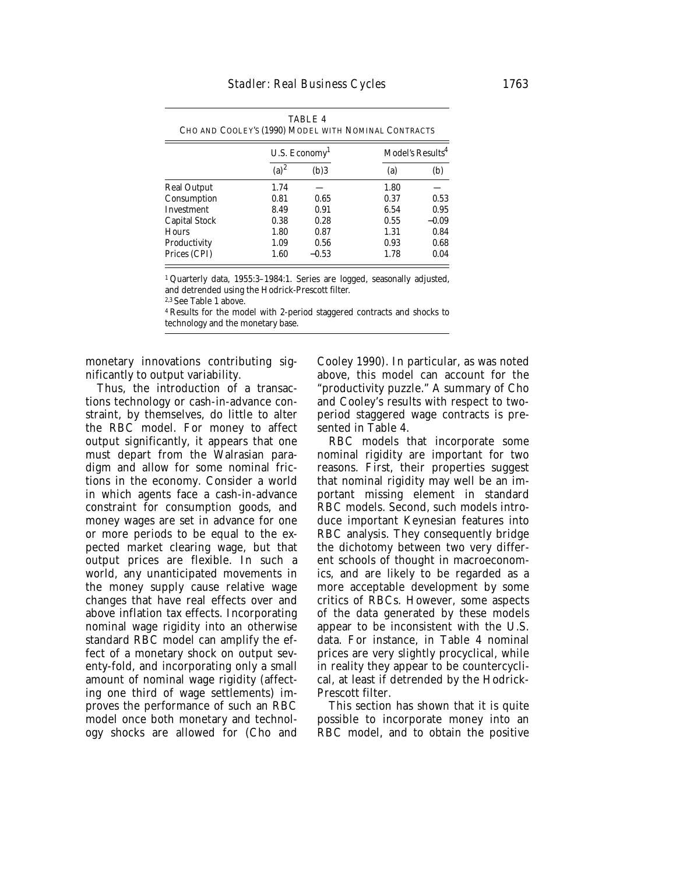TABLE 4

|                      | U.S. Economy <sup>1</sup> |         | Model's Results <sup>4</sup> |         |
|----------------------|---------------------------|---------|------------------------------|---------|
|                      | $(a)^2$                   | (b)3    | (a)                          | (b)     |
| Real Output          | 1.74                      |         | 1.80                         |         |
| Consumption          | 0.81                      | 0.65    | 0.37                         | 0.53    |
| Investment           | 8.49                      | 0.91    | 6.54                         | 0.95    |
| <b>Capital Stock</b> | 0.38                      | 0.28    | 0.55                         | $-0.09$ |
| Hours                | 1.80                      | 0.87    | 1.31                         | 0.84    |
| Productivity         | 1.09                      | 0.56    | 0.93                         | 0.68    |
| Prices (CPI)         | 1.60                      | $-0.53$ | 1.78                         | 0.04    |

1 Quarterly data, 1955:3–1984:1. Series are logged, seasonally adjusted, and detrended using the Hodrick-Prescott filter.

2,3 See Table 1 above.

4 Results for the model with 2-period staggered contracts and shocks to technology and the monetary base.

monetary innovations contributing significantly to output variability.

Thus, the introduction of a transactions technology or cash-in-advance constraint, by themselves, do little to alter the RBC model. For money to affect output significantly, it appears that one must depart from the Walrasian paradigm and allow for some nominal frictions in the economy. Consider a world in which agents face a cash-in-advance constraint for consumption goods, and money wages are set in advance for one or more periods to be equal to the expected market clearing wage, but that output prices are flexible. In such a world, any unanticipated movements in the money supply cause relative wage changes that have real effects over and above inflation tax effects. Incorporating nominal wage rigidity into an otherwise standard RBC model can amplify the effect of a monetary shock on output seventy-fold, and incorporating only a small amount of nominal wage rigidity (affecting one third of wage settlements) improves the performance of such an RBC model once both monetary and technology shocks are allowed for (Cho and

Cooley 1990). In particular, as was noted above, this model can account for the "productivity puzzle." A summary of Cho and Cooley's results with respect to twoperiod staggered wage contracts is presented in Table 4.

RBC models that incorporate some nominal rigidity are important for two reasons. First, their properties suggest that nominal rigidity may well be an important missing element in standard RBC models. Second, such models introduce important Keynesian features into RBC analysis. They consequently bridge the dichotomy between two very different schools of thought in macroeconomics, and are likely to be regarded as a more acceptable development by some critics of RBCs. However, some aspects of the data generated by these models appear to be inconsistent with the U.S. data. For instance, in Table 4 nominal prices are very slightly procyclical, while in reality they appear to be countercyclical, at least if detrended by the Hodrick-Prescott filter.

This section has shown that it is quite possible to incorporate money into an RBC model, and to obtain the positive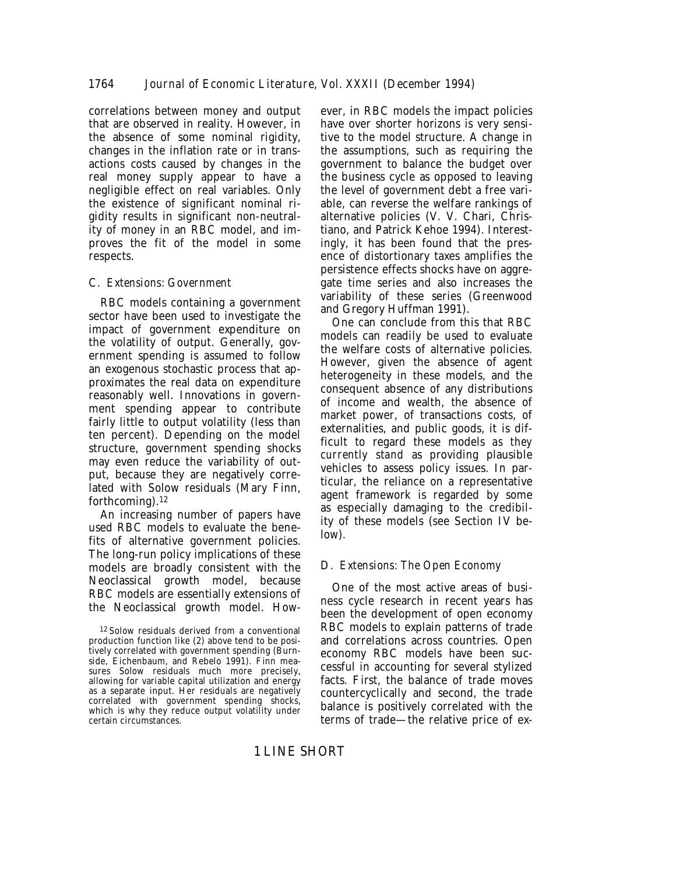correlations between money and output that are observed in reality. However, in the absence of some nominal rigidity, changes in the inflation rate or in transactions costs caused by changes in the real money supply appear to have a negligible effect on real variables. Only the existence of significant nominal rigidity results in significant non-neutrality of money in an RBC model, and improves the fit of the model in some respects.

# C. *Extensions: Government*

RBC models containing a government sector have been used to investigate the impact of government expenditure on the volatility of output. Generally, government spending is assumed to follow an exogenous stochastic process that approximates the real data on expenditure reasonably well. Innovations in government spending appear to contribute fairly little to output volatility (less than ten percent). Depending on the model structure, government spending shocks may even reduce the variability of output, because they are negatively correlated with Solow residuals (Mary Finn, forthcoming).12

An increasing number of papers have used RBC models to evaluate the benefits of alternative government policies. The long-run policy implications of these models are broadly consistent with the Neoclassical growth model, because RBC models are essentially extensions of the Neoclassical growth model. How-

ever, in RBC models the impact policies have over shorter horizons is very sensitive to the model structure. A change in the assumptions, such as requiring the government to balance the budget over the business cycle as opposed to leaving the level of government debt a free variable, can reverse the welfare rankings of alternative policies (V. V. Chari, Christiano, and Patrick Kehoe 1994). Interestingly, it has been found that the presence of distortionary taxes amplifies the persistence effects shocks have on aggregate time series and also increases the variability of these series (Greenwood and Gregory Huffman 1991).

One can conclude from this that RBC models can readily be used to evaluate the welfare costs of alternative policies. However, given the absence of agent heterogeneity in these models, and the consequent absence of any distributions of income and wealth, the absence of market power, of transactions costs, of externalities, and public goods, it is difficult to regard these models *as they currently stand* as providing plausible vehicles to assess policy issues. In particular, the reliance on a representative agent framework is regarded by some as especially damaging to the credibility of these models (see Section IV below).

# D. *Extensions: The Open Economy*

One of the most active areas of business cycle research in recent years has been the development of open economy RBC models to explain patterns of trade and correlations across countries. Open economy RBC models have been successful in accounting for several stylized facts. First, the balance of trade moves countercyclically and second, the trade balance is positively correlated with the terms of trade—the relative price of ex-

<sup>12</sup> Solow residuals derived from a conventional production function like (2) above tend to be positively correlated with government spending (Burnside, Eichenbaum, and Rebelo 1991). Finn measures Solow residuals much more precisely, allowing for variable capital utilization and energy as a separate input. Her residuals are negatively correlated with government spending shocks, which is why they reduce output volatility under certain circumstances.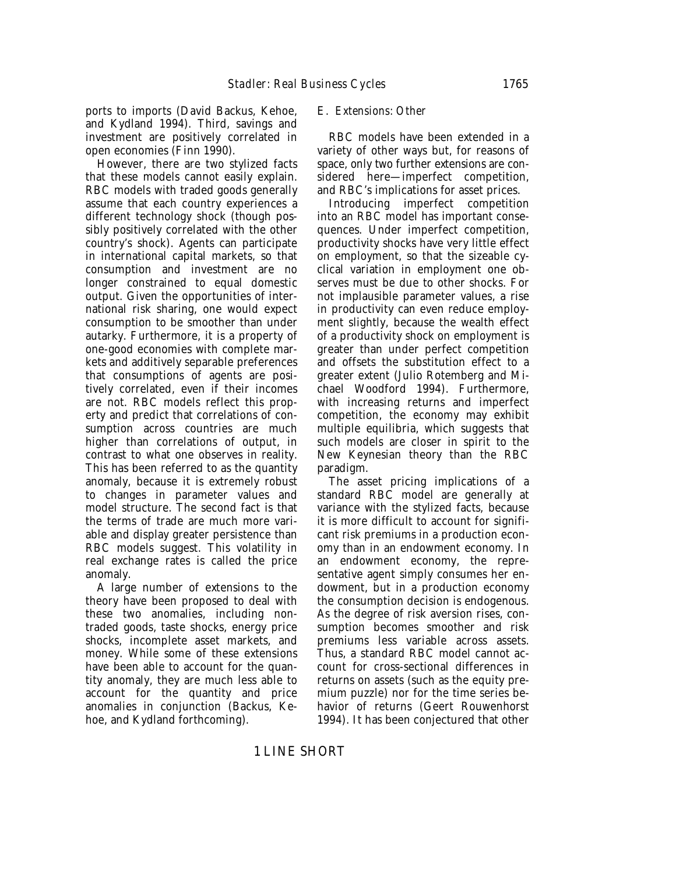ports to imports (David Backus, Kehoe, and Kydland 1994). Third, savings and investment are positively correlated in open economies (Finn 1990).

However, there are two stylized facts that these models cannot easily explain. RBC models with traded goods generally assume that each country experiences a different technology shock (though possibly positively correlated with the other country's shock). Agents can participate in international capital markets, so that consumption and investment are no longer constrained to equal domestic output. Given the opportunities of international risk sharing, one would expect consumption to be smoother than under autarky. Furthermore, it is a property of one-good economies with complete markets and additively separable preferences that consumptions of agents are positively correlated, even if their incomes are not. RBC models reflect this property and predict that correlations of consumption across countries are much higher than correlations of output, in contrast to what one observes in reality. This has been referred to as the quantity anomaly, because it is extremely robust to changes in parameter values and model structure. The second fact is that the terms of trade are much more variable and display greater persistence than RBC models suggest. This volatility in real exchange rates is called the price anomaly.

A large number of extensions to the theory have been proposed to deal with these two anomalies, including nontraded goods, taste shocks, energy price shocks, incomplete asset markets, and money. While some of these extensions have been able to account for the quantity anomaly, they are much less able to account for the quantity and price anomalies in conjunction (Backus, Kehoe, and Kydland forthcoming).

#### E. *Extensions: Other*

RBC models have been extended in a variety of other ways but, for reasons of space, only two further extensions are considered here—imperfect competition, and RBC's implications for asset prices.

Introducing imperfect competition into an RBC model has important consequences. Under imperfect competition, productivity shocks have very little effect on employment, so that the sizeable cyclical variation in employment one observes must be due to other shocks. For not implausible parameter values, a rise in productivity can even reduce employment slightly, because the wealth effect of a productivity shock on employment is greater than under perfect competition and offsets the substitution effect to a greater extent (Julio Rotemberg and Michael Woodford 1994). Furthermore, with increasing returns and imperfect competition, the economy may exhibit multiple equilibria, which suggests that such models are closer in spirit to the New Keynesian theory than the RBC paradigm.

The asset pricing implications of a standard RBC model are generally at variance with the stylized facts, because it is more difficult to account for significant risk premiums in a production economy than in an endowment economy. In an endowment economy, the representative agent simply consumes her endowment, but in a production economy the consumption decision is endogenous. As the degree of risk aversion rises, consumption becomes smoother and risk premiums less variable across assets. Thus, a standard RBC model cannot account for cross-sectional differences in returns on assets (such as the equity premium puzzle) nor for the time series behavior of returns (Geert Rouwenhorst 1994). It has been conjectured that other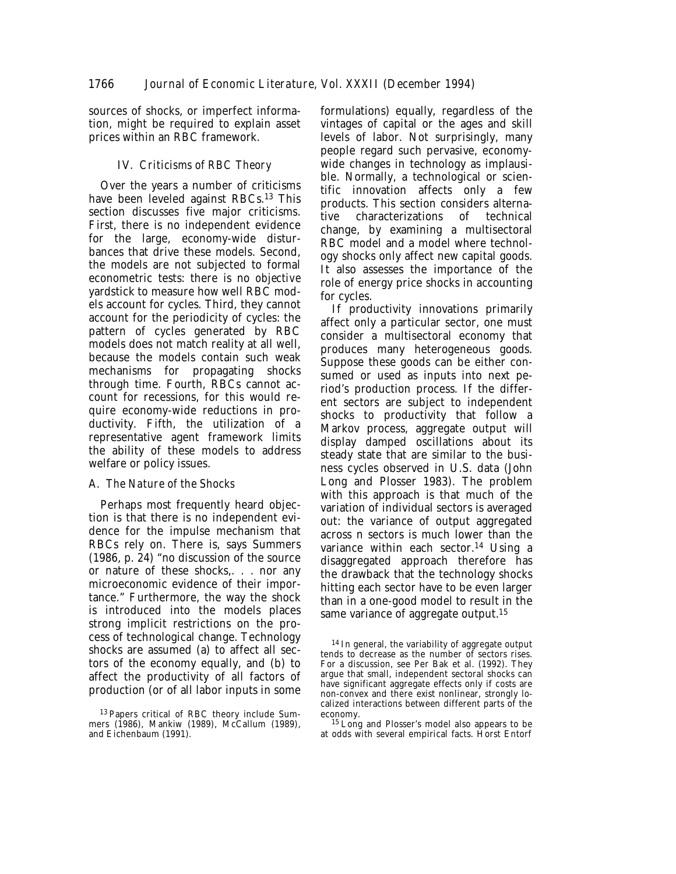sources of shocks, or imperfect information, might be required to explain asset prices within an RBC framework.

# IV. *Criticisms of RBC Theory*

Over the years a number of criticisms have been leveled against RBCs.13 This section discusses five major criticisms. First, there is no independent evidence for the large, economy-wide disturbances that drive these models. Second, the models are not subjected to formal econometric tests: there is no *objective* yardstick to measure how well RBC models account for cycles. Third, they cannot account for the periodicity of cycles: the pattern of cycles generated by RBC models does not match reality at all well, because the models contain such weak mechanisms for propagating shocks through time. Fourth, RBCs cannot account for recessions, for this would require economy-wide reductions in productivity. Fifth, the utilization of a representative agent framework limits the ability of these models to address welfare or policy issues.

# A. *The Nature of the Shocks*

Perhaps most frequently heard objection is that there is no independent evidence for the impulse mechanism that RBCs rely on. There is, says Summers (1986, p. 24) "no discussion of the source or nature of these shocks,. . . nor any microeconomic evidence of their importance." Furthermore, the way the shock is introduced into the models places strong implicit restrictions on the process of technological change. Technology shocks are assumed (a) to affect all sectors of the economy equally, and (b) to affect the productivity of all factors of production (or of all labor inputs in some

formulations) equally, regardless of the vintages of capital or the ages and skill levels of labor. Not surprisingly, many people regard such pervasive, economywide changes in technology as implausible. Normally, a technological or scientific innovation affects only a few products. This section considers alternative characterizations of technical change, by examining a multisectoral RBC model and a model where technology shocks only affect new capital goods. It also assesses the importance of the role of energy price shocks in accounting for cycles.

If productivity innovations primarily affect only a particular sector, one must consider a multisectoral economy that produces many heterogeneous goods. Suppose these goods can be either consumed or used as inputs into next period's production process. If the different sectors are subject to independent shocks to productivity that follow a Markov process, aggregate output will display damped oscillations about its steady state that are similar to the business cycles observed in U.S. data (John Long and Plosser 1983). The problem with this approach is that much of the variation of individual sectors is averaged out: the variance of output aggregated across n sectors is much lower than the variance within each sector.14 Using a disaggregated approach therefore has the drawback that the technology shocks hitting each sector have to be even larger than in a one-good model to result in the same variance of aggregate output.<sup>15</sup>

15 Long and Plosser's model also appears to be at odds with several empirical facts. Horst Entorf

<sup>13</sup> Papers critical of RBC theory include Summers (1986), Mankiw (1989), McCallum (1989), and Eichenbaum (1991).

<sup>&</sup>lt;sup>14</sup> In general, the variability of aggregate output tends to decrease as the number of sectors rises. For a discussion, see Per Bak et al. (1992). They argue that small, independent sectoral shocks can have significant aggregate effects only if costs are non-convex and there exist nonlinear, strongly localized interactions between different parts of the economy.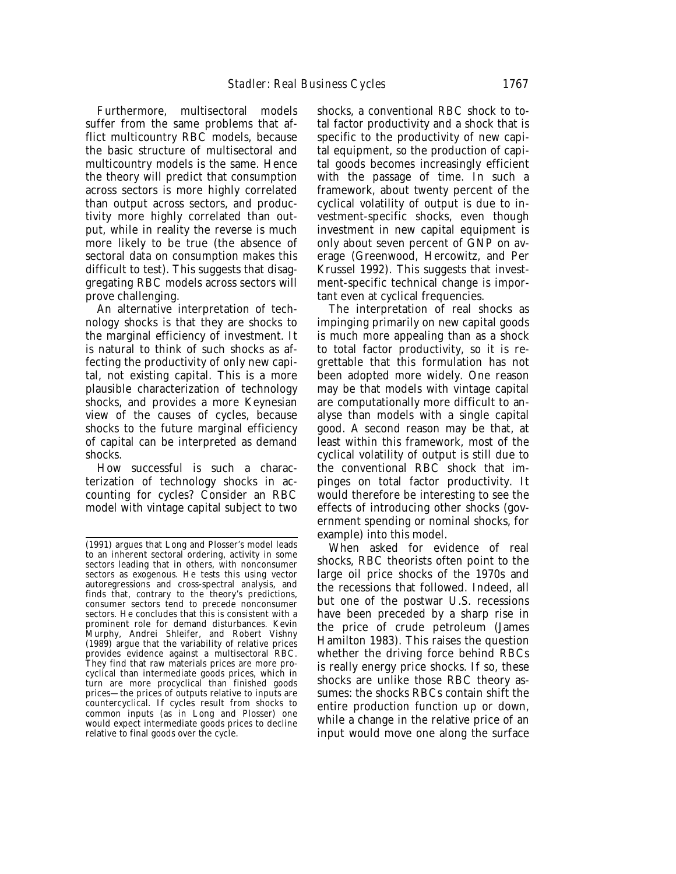Furthermore, multisectoral models suffer from the same problems that afflict multicountry RBC models, because the basic structure of multisectoral and multicountry models is the same. Hence the theory will predict that consumption across sectors is more highly correlated than output across sectors, and productivity more highly correlated than output, while in reality the reverse is much more likely to be true (the absence of sectoral data on consumption makes this difficult to test). This suggests that disaggregating RBC models across sectors will prove challenging.

An alternative interpretation of technology shocks is that they are shocks to the marginal efficiency of investment. It is natural to think of such shocks as affecting the productivity of only new capital, not existing capital. This is a more plausible characterization of technology shocks, and provides a more Keynesian view of the causes of cycles, because shocks to the future marginal efficiency of capital can be interpreted as demand shocks.

How successful is such a characterization of technology shocks in accounting for cycles? Consider an RBC model with vintage capital subject to two shocks, a conventional RBC shock to total factor productivity and a shock that is specific to the productivity of new capital equipment, so the production of capital goods becomes increasingly efficient with the passage of time. In such a framework, about twenty percent of the cyclical volatility of output is due to investment-specific shocks, even though investment in new capital equipment is only about seven percent of GNP on average (Greenwood, Hercowitz, and Per Krussel 1992). This suggests that investment-specific technical change is important even at cyclical frequencies.

The interpretation of real shocks as impinging primarily on new capital goods is much more appealing than as a shock to total factor productivity, so it is regrettable that this formulation has not been adopted more widely. One reason may be that models with vintage capital are computationally more difficult to analyse than models with a single capital good. A second reason may be that, at least within this framework, most of the cyclical volatility of output is still due to the conventional RBC shock that impinges on total factor productivity. It would therefore be interesting to see the effects of introducing other shocks (government spending or nominal shocks, for example) into this model.

When asked for evidence of real shocks, RBC theorists often point to the large oil price shocks of the 1970s and the recessions that followed. Indeed, all but one of the postwar U.S. recessions have been preceded by a sharp rise in the price of crude petroleum (James Hamilton 1983). This raises the question whether the driving force behind RBCs is really energy price shocks. If so, these shocks are unlike those RBC theory assumes: the shocks RBCs contain shift the entire production function up or down, while a change in the relative price of an input would move one along the surface

<sup>(1991)</sup> argues that Long and Plosser's model leads to an inherent sectoral ordering, activity in some sectors leading that in others, with nonconsumer sectors as exogenous. He tests this using vector autoregressions and cross-spectral analysis, and finds that, contrary to the theory's predictions, consumer sectors tend to precede nonconsumer sectors. He concludes that this is consistent with a prominent role for demand disturbances. Kevin Murphy, Andrei Shleifer, and Robert Vishny  $(1989)$  argue that the variability of relative prices provides evidence against a multisectoral RBC. They find that raw materials prices are more procyclical than intermediate goods prices, which in turn are more procyclical than finished goods prices—the prices of outputs relative to inputs are countercyclical. If cycles result from shocks to common inputs (as in Long and Plosser) one would expect intermediate goods prices to decline relative to final goods over the cycle.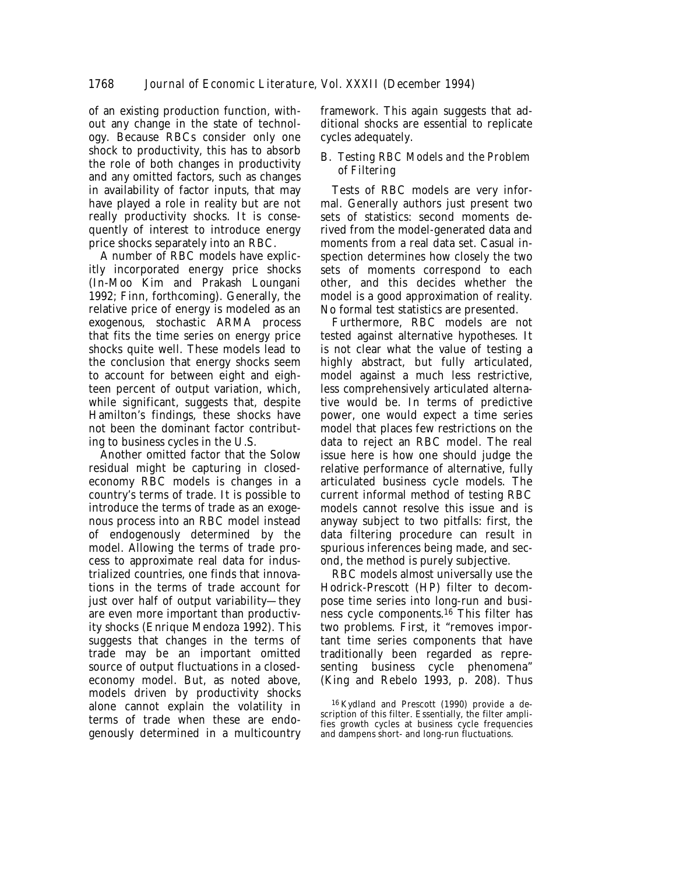of an existing production function, without any change in the state of technology. Because RBCs consider only one shock to productivity, this has to absorb the role of both changes in productivity and any omitted factors, such as changes in availability of factor inputs, that may have played a role in reality but are not really productivity shocks. It is consequently of interest to introduce energy price shocks separately into an RBC.

A number of RBC models have explicitly incorporated energy price shocks (In-Moo Kim and Prakash Loungani 1992; Finn, forthcoming). Generally, the relative price of energy is modeled as an exogenous, stochastic ARMA process that fits the time series on energy price shocks quite well. These models lead to the conclusion that energy shocks seem to account for between eight and eighteen percent of output variation, which, while significant, suggests that, despite Hamilton's findings, these shocks have not been the dominant factor contributing to business cycles in the U.S.

Another omitted factor that the Solow residual might be capturing in closedeconomy RBC models is changes in a country's terms of trade. It is possible to introduce the terms of trade as an exogenous process into an RBC model instead of endogenously determined by the model. Allowing the terms of trade process to approximate real data for industrialized countries, one finds that innovations in the terms of trade account for just over half of output variability—they are even more important than productivity shocks (Enrique Mendoza 1992). This suggests that changes in the terms of trade may be an important omitted source of output fluctuations in a closedeconomy model. But, as noted above, models driven by productivity shocks alone cannot explain the volatility in terms of trade when these are endogenously determined in a multicountry framework. This again suggests that additional shocks are essential to replicate cycles adequately.

# B. *Testing RBC Models and the Problem of Filtering*

Tests of RBC models are very informal. Generally authors just present two sets of statistics: second moments derived from the model-generated data and moments from a real data set. Casual inspection determines how closely the two sets of moments correspond to each other, and this decides whether the model is a good approximation of reality. No formal test statistics are presented.

Furthermore, RBC models are not tested against alternative hypotheses. It is not clear what the value of testing a highly abstract, but fully articulated, model against a much less restrictive, less comprehensively articulated alternative would be. In terms of predictive power, one would expect a time series model that places few restrictions on the data to reject an RBC model. The real issue here is how one should judge the relative performance of alternative, fully articulated business cycle models. The current informal method of testing RBC models cannot resolve this issue and is anyway subject to two pitfalls: first, the data filtering procedure can result in spurious inferences being made, and second, the method is purely subjective.

RBC models almost universally use the Hodrick-Prescott (HP) filter to decompose time series into long-run and business cycle components.16 This filter has two problems. First, it "removes important time series components that have traditionally been regarded as representing business cycle phenomena" (King and Rebelo 1993, p. 208). Thus

16 Kydland and Prescott (1990) provide a description of this filter. Essentially, the filter amplifies growth cycles at business cycle frequencies and dampens short- and long-run fluctuations.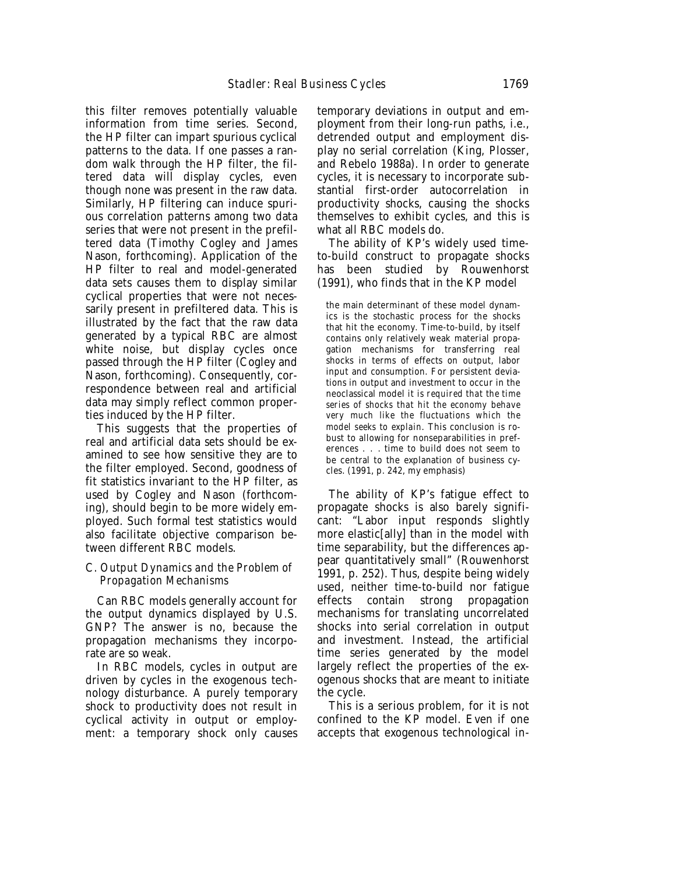this filter removes potentially valuable information from time series. Second, the HP filter can impart spurious cyclical patterns to the data. If one passes a random walk through the HP filter, the filtered data will display cycles, even though none was present in the raw data. Similarly, HP filtering can induce spurious correlation patterns among two data series that were not present in the prefiltered data (Timothy Cogley and James Nason, forthcoming). Application of the HP filter to real and model-generated data sets causes them to display similar cyclical properties that were not necessarily present in prefiltered data. This is illustrated by the fact that the raw data generated by a typical RBC are almost white noise, but display cycles once passed through the HP filter (Cogley and Nason, forthcoming). Consequently, correspondence between real and artificial data may simply reflect common properties induced by the HP filter.

This suggests that the properties of real and artificial data sets should be examined to see how sensitive they are to the filter employed. Second, goodness of fit statistics invariant to the HP filter, as used by Cogley and Nason (forthcoming), should begin to be more widely employed. Such formal test statistics would also facilitate objective comparison between different RBC models.

#### C. *Output Dynamics and the Problem of Propagation Mechanisms*

Can RBC models generally account for the output dynamics displayed by U.S. GNP? The answer is no, because the propagation mechanisms they incorporate are so weak.

In RBC models, cycles in output are driven by cycles in the exogenous technology disturbance. A purely temporary shock to productivity does not result in cyclical activity in output or employment: a temporary shock only causes

temporary deviations in output and employment from their long-run paths, i.e., detrended output and employment display no serial correlation (King, Plosser, and Rebelo 1988a). In order to generate cycles, it is necessary to incorporate substantial first-order autocorrelation in productivity shocks, causing the shocks themselves to exhibit cycles, and this is what all RBC models do.

The ability of KP's widely used timeto-build construct to propagate shocks has been studied by Rouwenhorst (1991), who finds that in the KP model

the main determinant of these model dynamics is the stochastic process for the shocks that hit the economy. Time-to-build, by itself contains only relatively weak material propagation mechanisms for transferring real shocks in terms of effects on output, labor input and consumption. For persistent deviations in output and investment to occur in the neoclassical model *it is required that the time series of shocks that hit the economy behave very much like the fluctuations which the model seeks to explain*. This conclusion is robust to allowing for nonseparabilities in preferences . . . time to build does not seem to be central to the explanation of business cycles. (1991, p. 242, my emphasis)

The ability of KP's fatigue effect to propagate shocks is also barely significant: "Labor input responds slightly more elastic[ally] than in the model with time separability, but the differences appear quantitatively small" (Rouwenhorst 1991, p. 252). Thus, despite being widely used, neither time-to-build nor fatigue effects contain strong propagation mechanisms for translating uncorrelated shocks into serial correlation in output and investment. Instead, the artificial time series generated by the model largely reflect the properties of the exogenous shocks that are meant to initiate the cycle.

This is a serious problem, for it is not confined to the KP model. Even if one accepts that exogenous technological in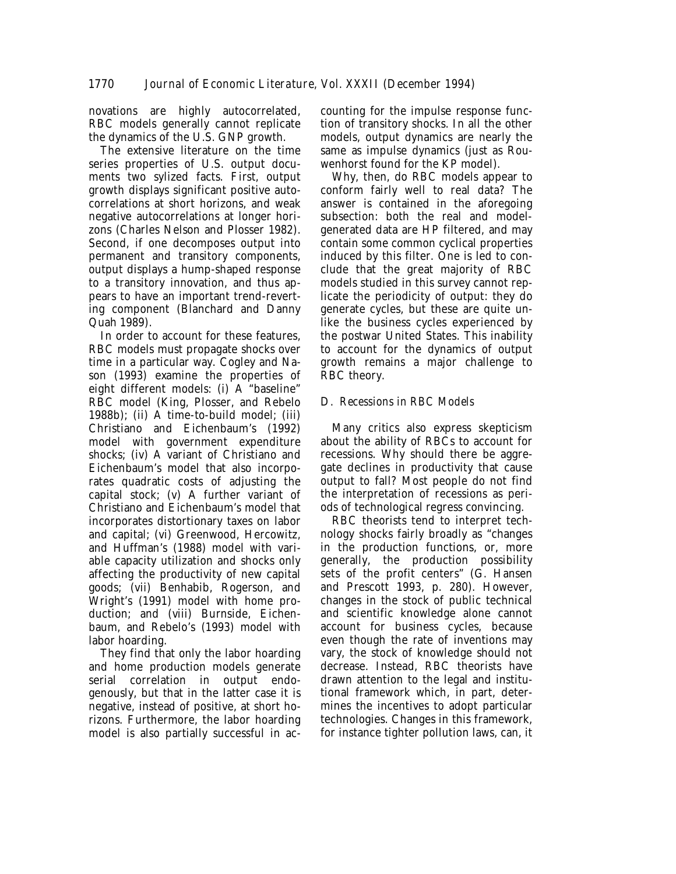novations are highly autocorrelated, RBC models generally cannot replicate the dynamics of the U.S. GNP growth.

The extensive literature on the time series properties of U.S. output documents two sylized facts. First, output growth displays significant positive autocorrelations at short horizons, and weak negative autocorrelations at longer horizons (Charles Nelson and Plosser 1982). Second, if one decomposes output into permanent and transitory components, output displays a hump-shaped response to a transitory innovation, and thus appears to have an important trend-reverting component (Blanchard and Danny Quah 1989).

In order to account for these features, RBC models must propagate shocks over time in a particular way. Cogley and Nason (1993) examine the properties of eight different models: (i) A "baseline" RBC model (King, Plosser, and Rebelo 1988b); (ii) A time-to-build model; (iii) Christiano and Eichenbaum's (1992) model with government expenditure shocks; (iv) A variant of Christiano and Eichenbaum's model that also incorporates quadratic costs of adjusting the capital stock; (v) A further variant of Christiano and Eichenbaum's model that incorporates distortionary taxes on labor and capital; (vi) Greenwood, Hercowitz, and Huffman's (1988) model with variable capacity utilization and shocks only affecting the productivity of new capital goods; (vii) Benhabib, Rogerson, and Wright's (1991) model with home production; and (viii) Burnside, Eichenbaum, and Rebelo's (1993) model with labor hoarding.

They find that only the labor hoarding and home production models generate serial correlation in output endogenously, but that in the latter case it is negative, instead of positive, at short horizons. Furthermore, the labor hoarding model is also partially successful in ac-

counting for the impulse response function of transitory shocks. In all the other models, output dynamics are nearly the same as impulse dynamics (just as Rouwenhorst found for the KP model).

Why, then, do RBC models appear to conform fairly well to real data? The answer is contained in the aforegoing subsection: both the real and modelgenerated data are HP filtered, and may contain some common cyclical properties induced by this filter. One is led to conclude that the great majority of RBC models studied in this survey cannot replicate the periodicity of output: they do generate cycles, but these are quite unlike the business cycles experienced by the postwar United States. This inability to account for the dynamics of output growth remains a major challenge to RBC theory.

# D. *Recessions in RBC Models*

Many critics also express skepticism about the ability of RBCs to account for recessions. Why should there be aggregate declines in productivity that cause output to fall? Most people do not find the interpretation of recessions as periods of technological regress convincing.

RBC theorists tend to interpret technology shocks fairly broadly as "changes in the production functions, or, more generally, the production possibility sets of the profit centers" (G. Hansen and Prescott 1993, p. 280). However, changes in the stock of public technical and scientific knowledge alone cannot account for business cycles, because even though the rate of inventions may vary, the stock of knowledge should not decrease. Instead, RBC theorists have drawn attention to the legal and institutional framework which, in part, determines the incentives to adopt particular technologies. Changes in this framework, for instance tighter pollution laws, can, it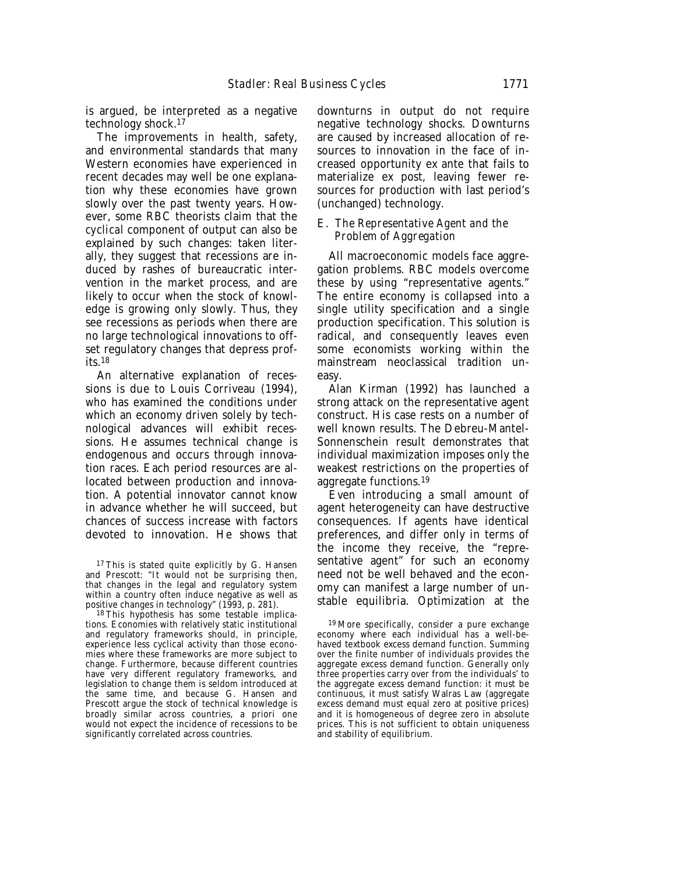is argued, be interpreted as a negative technology shock.17

The improvements in health, safety, and environmental standards that many Western economies have experienced in recent decades may well be one explanation why these economies have grown slowly over the past twenty years. However, some RBC theorists claim that the *cyclical* component of output can also be explained by such changes: taken literally, they suggest that recessions are induced by rashes of bureaucratic intervention in the market process, and are likely to occur when the stock of knowledge is growing only slowly. Thus, they see recessions as periods when there are no large technological innovations to offset regulatory changes that depress profits. $18$ 

An alternative explanation of recessions is due to Louis Corriveau (1994), who has examined the conditions under which an economy driven solely by technological advances will exhibit recessions. He assumes technical change is endogenous and occurs through innovation races. Each period resources are allocated between production and innovation. A potential innovator cannot know in advance whether he will succeed, but chances of success increase with factors devoted to innovation. He shows that

<sup>17</sup> This is stated quite explicitly by G. Hansen and Prescott: "It would not be surprising then, that changes in the legal and regulatory system within a country often induce negative as well as positive changes in technology" (1993, p. 281).

18 This hypothesis has some testable implications. Economies with relatively static institutional and regulatory frameworks should, in principle, experience less cyclical activity than those economies where these frameworks are more subject to change. Furthermore, because different countries have very different regulatory frameworks, and legislation to change them is seldom introduced at the same time, and because G. Hansen and Prescott argue the stock of technical knowledge is broadly similar across countries, a priori one would not expect the incidence of recessions to be significantly correlated across countries.

downturns in output do not require negative technology shocks. Downturns are caused by increased allocation of resources to innovation in the face of increased opportunity ex ante that fails to materialize ex post, leaving fewer resources for production with last period's (unchanged) technology.

# E. *The Representative Agent and the Problem of Aggregation*

All macroeconomic models face aggregation problems. RBC models overcome these by using "representative agents." The entire economy is collapsed into a single utility specification and a single production specification. This solution is radical, and consequently leaves even some economists working within the mainstream neoclassical tradition uneasy.

Alan Kirman (1992) has launched a strong attack on the representative agent construct. His case rests on a number of well known results. The Debreu-Mantel-Sonnenschein result demonstrates that individual maximization imposes only the weakest restrictions on the properties of aggregate functions.19

Even introducing a small amount of agent heterogeneity can have destructive consequences. If agents have identical preferences, and differ only in terms of the income they receive, the "representative agent" for such an economy need not be well behaved and the economy can manifest a large number of unstable equilibria. Optimization at the

19 More specifically, consider a pure exchange economy where each individual has a well-behaved textbook excess demand function. Summing over the finite number of individuals provides the aggregate excess demand function. Generally only three properties carry over from the individuals' to the aggregate excess demand function: it must be continuous, it must satisfy Walras Law (aggregate excess demand must equal zero at positive prices) and it is homogeneous of degree zero in absolute prices. This is not sufficient to obtain uniqueness and stability of equilibrium.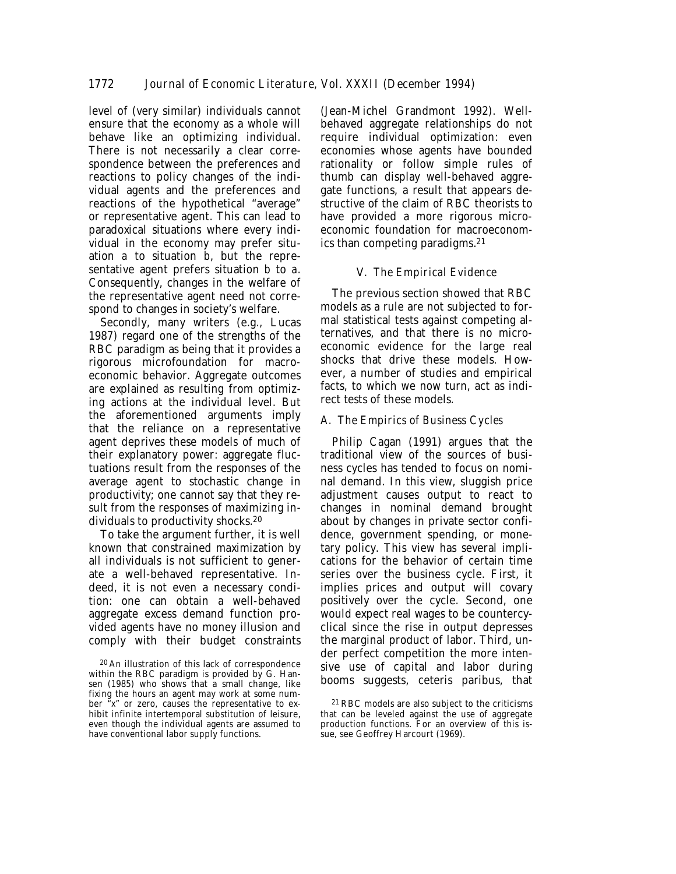level of (very similar) individuals cannot ensure that the economy as a whole will behave like an optimizing individual. There is not necessarily a clear correspondence between the preferences and reactions to policy changes of the individual agents and the preferences and reactions of the hypothetical "average" or representative agent. This can lead to paradoxical situations where every individual in the economy may prefer situation *a* to situation *b*, but the representative agent prefers situation *b* to *a*. Consequently, changes in the welfare of the representative agent need not correspond to changes in society's welfare.

Secondly, many writers (e.g., Lucas 1987) regard one of the strengths of the RBC paradigm as being that it provides a rigorous microfoundation for macroeconomic behavior. Aggregate outcomes are explained as resulting from optimizing actions at the individual level. But the aforementioned arguments imply that the reliance on a representative agent deprives these models of much of their explanatory power: aggregate fluctuations result from the responses of the average agent to stochastic change in productivity; one cannot say that they result from the responses of maximizing individuals to productivity shocks.20

To take the argument further, it is well known that constrained maximization by all individuals is not sufficient to generate a well-behaved representative. Indeed, it is not even a necessary condition: one can obtain a well-behaved aggregate excess demand function provided agents have no money illusion and comply with their budget constraints

(Jean-Michel Grandmont 1992). Wellbehaved aggregate relationships do not require individual optimization: even economies whose agents have bounded rationality or follow simple rules of thumb can display well-behaved aggregate functions, a result that appears destructive of the claim of RBC theorists to have provided a more rigorous microeconomic foundation for macroeconomics than competing paradigms.21

# V. *The Empirical Evidence*

The previous section showed that RBC models as a rule are not subjected to formal statistical tests against competing alternatives, and that there is no microeconomic evidence for the large real shocks that drive these models. However, a number of studies and empirical facts, to which we now turn, act as indirect tests of these models.

# A. *The Empirics of Business Cycles*

Philip Cagan (1991) argues that the traditional view of the sources of business cycles has tended to focus on nominal demand. In this view, sluggish price adjustment causes output to react to changes in nominal demand brought about by changes in private sector confidence, government spending, or monetary policy. This view has several implications for the behavior of certain time series over the business cycle. First, it implies prices and output will covary positively over the cycle. Second, one would expect real wages to be countercyclical since the rise in output depresses the marginal product of labor. Third, under perfect competition the more intensive use of capital and labor during booms suggests, ceteris paribus, that

<sup>20</sup> An illustration of this lack of correspondence within the RBC paradigm is provided by G. Hansen (1985) who shows that a small change, like fixing the hours an agent may work at some number "*x*" or zero, causes the representative to exhibit infinite intertemporal substitution of leisure, even though the individual agents are assumed to have conventional labor supply functions.

<sup>21</sup> RBC models are also subject to the criticisms that can be leveled against the use of aggregate production functions. For an overview of this issue, see Geoffrey Harcourt (1969).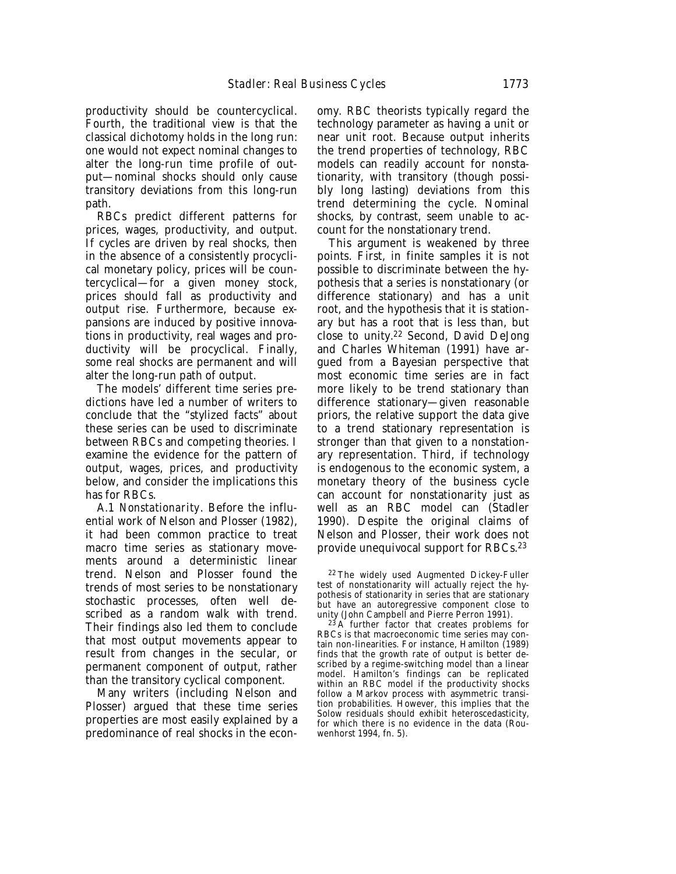productivity should be countercyclical. Fourth, the traditional view is that the classical dichotomy holds in the long run: one would not expect nominal changes to alter the long-run time profile of output—nominal shocks should only cause transitory deviations from this long-run path.

RBCs predict different patterns for prices, wages, productivity, and output. If cycles are driven by real shocks, then in the absence of a consistently procyclical monetary policy, prices will be countercyclical—for a given money stock, prices should fall as productivity and output rise. Furthermore, because expansions are induced by positive innovations in productivity, real wages and productivity will be procyclical. Finally, some real shocks are permanent and will alter the long-run path of output.

The models' different time series predictions have led a number of writers to conclude that the "stylized facts" about these series can be used to discriminate between RBCs and competing theories. I examine the evidence for the pattern of output, wages, prices, and productivity below, and consider the implications this has for RBCs.

A.1 *Nonstationarity*. Before the influential work of Nelson and Plosser (1982), it had been common practice to treat macro time series as stationary movements around a deterministic linear trend. Nelson and Plosser found the trends of most series to be nonstationary stochastic processes, often well described as a random walk with trend. Their findings also led them to conclude that most output movements appear to result from changes in the secular, or permanent component of output, rather than the transitory cyclical component.

Many writers (including Nelson and Plosser) argued that these time series properties are most easily explained by a predominance of real shocks in the econ-

omy. RBC theorists typically regard the technology parameter as having a unit or near unit root. Because output inherits the trend properties of technology, RBC models can readily account for nonstationarity, with transitory (though possibly long lasting) deviations from this trend determining the cycle. Nominal shocks, by contrast, seem unable to account for the nonstationary trend.

This argument is weakened by three points. First, in finite samples it is not possible to discriminate between the hypothesis that a series is nonstationary (or difference stationary) and has a unit root, and the hypothesis that it is stationary but has a root that is less than, but close to unity.22 Second, David DeJong and Charles Whiteman (1991) have argued from a Bayesian perspective that most economic time series are in fact more likely to be trend stationary than difference stationary—given reasonable priors, the relative support the data give to a trend stationary representation is stronger than that given to a nonstationary representation. Third, if technology is endogenous to the economic system, a monetary theory of the business cycle can account for nonstationarity just as well as an RBC model can (Stadler 1990). Despite the original claims of Nelson and Plosser, their work does not provide unequivocal support for RBCs.23

23 A further factor that creates problems for RBCs is that macroeconomic time series may contain non-linearities. For instance, Hamilton (1989) finds that the growth rate of output is better described by a regime-switching model than a linear model. Hamilton's findings can be replicated within an RBC model if the productivity shocks follow a Markov process with asymmetric transition probabilities. However, this implies that the Solow residuals should exhibit heteroscedasticity, for which there is no evidence in the data (Rouwenhorst 1994, fn. 5).

<sup>22</sup> The widely used Augmented Dickey-Fuller test of nonstationarity will actually reject the hypothesis of stationarity in series that are stationary but have an autoregressive component close to unity (John Campbell and Pierre Perron 1991).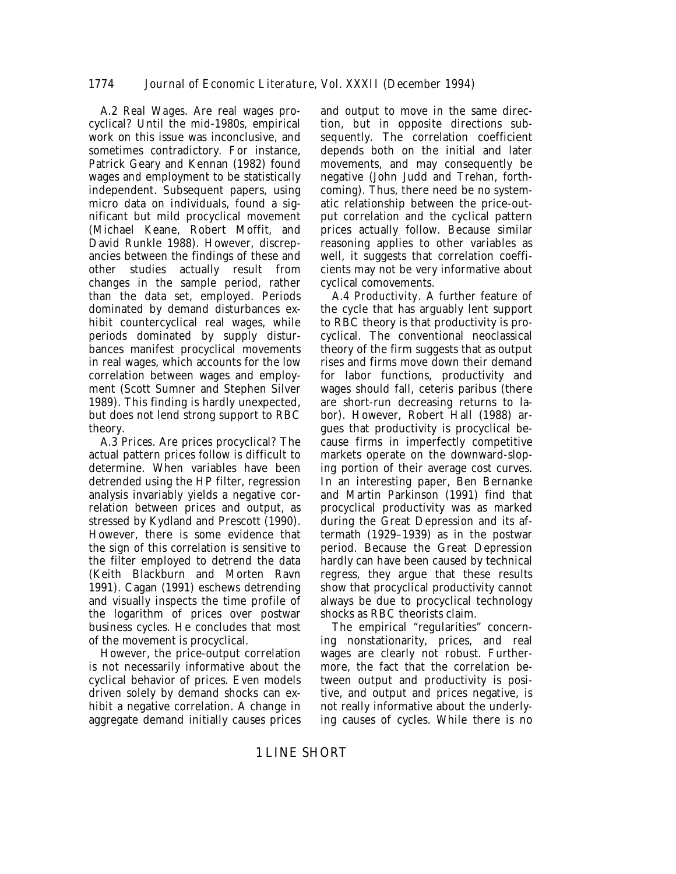A.2 *Real Wages*. Are real wages procyclical? Until the mid-1980s, empirical work on this issue was inconclusive, and sometimes contradictory. For instance, Patrick Geary and Kennan (1982) found wages and employment to be statistically independent. Subsequent papers, using micro data on individuals, found a significant but mild procyclical movement (Michael Keane, Robert Moffit, and David Runkle 1988). However, discrepancies between the findings of these and other studies actually result from changes in the sample period, rather than the data set, employed. Periods dominated by demand disturbances exhibit countercyclical real wages, while periods dominated by supply disturbances manifest procyclical movements in real wages, which accounts for the low correlation between wages and employment (Scott Sumner and Stephen Silver 1989). This finding is hardly unexpected, but does not lend strong support to RBC theory.

A.3 *Prices*. Are prices procyclical? The actual pattern prices follow is difficult to determine. When variables have been detrended using the HP filter, regression analysis invariably yields a negative correlation between prices and output, as stressed by Kydland and Prescott (1990). However, there is some evidence that the sign of this correlation is sensitive to the filter employed to detrend the data (Keith Blackburn and Morten Ravn 1991). Cagan (1991) eschews detrending and visually inspects the time profile of the logarithm of prices over postwar business cycles. He concludes that most of the movement is procyclical.

However, the price-output correlation is not necessarily informative about the cyclical behavior of prices. Even models driven solely by demand shocks can exhibit a negative correlation. A change in aggregate demand initially causes prices

and output to move in the same direction, but in opposite directions subsequently. The correlation coefficient depends both on the initial and later movements, and may consequently be negative (John Judd and Trehan, forthcoming). Thus, there need be no systematic relationship between the price-output correlation and the cyclical pattern prices actually follow. Because similar reasoning applies to other variables as well, it suggests that correlation coefficients may not be very informative about cyclical comovements.

A.4 *Productivity*. A further feature of the cycle that has arguably lent support to RBC theory is that productivity is procyclical. The conventional neoclassical theory of the firm suggests that as output rises and firms move down their demand for labor functions, productivity and wages should fall, ceteris paribus (there are short-run decreasing returns to labor). However, Robert Hall (1988) argues that productivity is procyclical because firms in imperfectly competitive markets operate on the downward-sloping portion of their average cost curves. In an interesting paper, Ben Bernanke and Martin Parkinson (1991) find that procyclical productivity was as marked during the Great Depression and its aftermath (1929–1939) as in the postwar period. Because the Great Depression hardly can have been caused by technical regress, they argue that these results show that procyclical productivity cannot always be due to procyclical technology shocks as RBC theorists claim.

The empirical "regularities" concerning nonstationarity, prices, and real wages are clearly not robust. Furthermore, the fact that the correlation between output and productivity is positive, and output and prices negative, is not really informative about the underlying causes of cycles. While there is no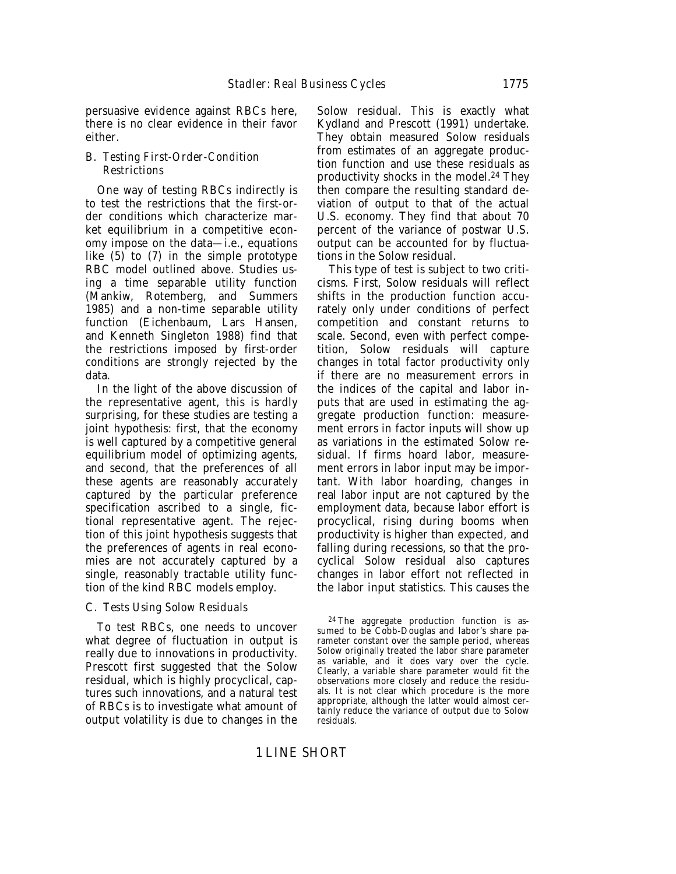persuasive evidence against RBCs here, there is no clear evidence in their favor either.

# B. *Testing First-Order-Condition Restrictions*

One way of testing RBCs indirectly is to test the restrictions that the first-order conditions which characterize market equilibrium in a competitive economy impose on the data—i.e., equations like (5) to (7) in the simple prototype RBC model outlined above. Studies using a time separable utility function (Mankiw, Rotemberg, and Summers 1985) and a non-time separable utility function (Eichenbaum, Lars Hansen, and Kenneth Singleton 1988) find that the restrictions imposed by first-order conditions are strongly rejected by the data.

In the light of the above discussion of the representative agent, this is hardly surprising, for these studies are testing a joint hypothesis: first, that the economy is well captured by a competitive general equilibrium model of optimizing agents, and second, that the preferences of all these agents are reasonably accurately captured by the particular preference specification ascribed to a single, fictional representative agent. The rejection of this joint hypothesis suggests that the preferences of agents in real economies are not accurately captured by a single, reasonably tractable utility function of the kind RBC models employ.

# C. *Tests Using Solow Residuals*

To test RBCs, one needs to uncover what degree of fluctuation in output is really due to innovations in productivity. Prescott first suggested that the Solow residual, which is highly procyclical, captures such innovations, and a natural test of RBCs is to investigate what amount of output volatility is due to changes in the Solow residual. This is exactly what Kydland and Prescott (1991) undertake. They obtain measured Solow residuals from estimates of an aggregate production function and use these residuals as productivity shocks in the model.24 They then compare the resulting standard deviation of output to that of the actual U.S. economy. They find that about 70 percent of the variance of postwar U.S. output can be accounted for by fluctuations in the Solow residual.

This type of test is subject to two criticisms. First, Solow residuals will reflect shifts in the production function accurately only under conditions of perfect competition and constant returns to scale. Second, even with perfect competition, Solow residuals will capture changes in total factor productivity only if there are no measurement errors in the indices of the capital and labor inputs that are used in estimating the aggregate production function: measurement errors in factor inputs will show up as variations in the estimated Solow residual. If firms hoard labor, measurement errors in labor input may be important. With labor hoarding, changes in real labor input are not captured by the employment data, because labor effort is procyclical, rising during booms when productivity is higher than expected, and falling during recessions, so that the procyclical Solow residual also captures changes in labor effort not reflected in the labor input statistics. This causes the

<sup>24</sup> The aggregate production function is assumed to be Cobb-Douglas and labor's share parameter constant over the sample period, whereas Solow originally treated the labor share parameter as variable, and it does vary over the cycle. Clearly, a variable share parameter would fit the observations more closely and reduce the residuals. It is not clear which procedure is the more appropriate, although the latter would almost certainly reduce the variance of output due to Solow residuals.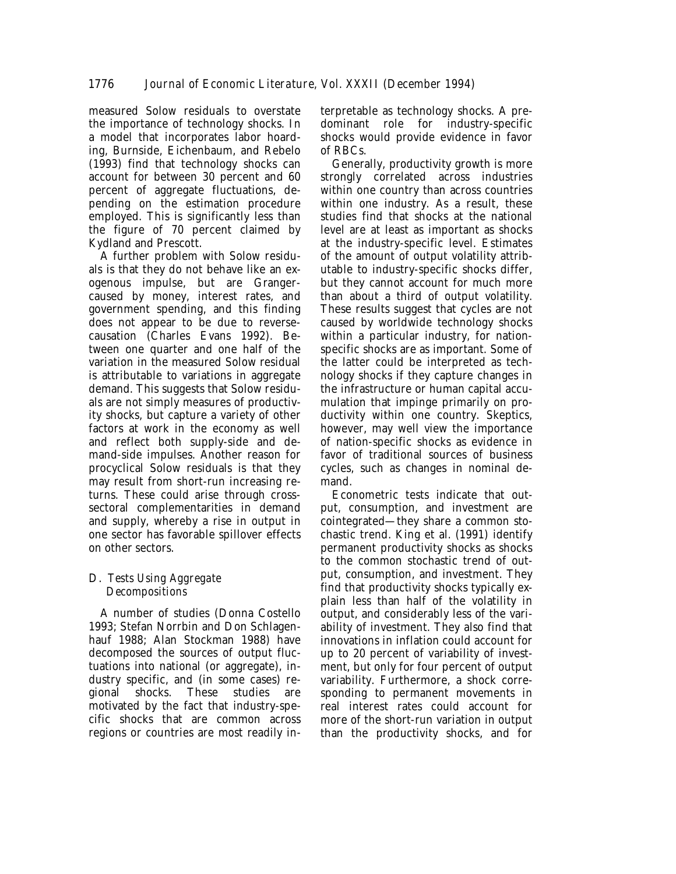measured Solow residuals to overstate the importance of technology shocks. In a model that incorporates labor hoarding, Burnside, Eichenbaum, and Rebelo (1993) find that technology shocks can account for between 30 percent and 60 percent of aggregate fluctuations, depending on the estimation procedure employed. This is significantly less than the figure of 70 percent claimed by Kydland and Prescott.

A further problem with Solow residuals is that they do not behave like an exogenous impulse, but are Grangercaused by money, interest rates, and government spending, and this finding does not appear to be due to reversecausation (Charles Evans 1992). Between one quarter and one half of the variation in the measured Solow residual is attributable to variations in aggregate demand. This suggests that Solow residuals are not simply measures of productivity shocks, but capture a variety of other factors at work in the economy as well and reflect both supply-side and demand-side impulses. Another reason for procyclical Solow residuals is that they may result from short-run increasing returns. These could arise through crosssectoral complementarities in demand and supply, whereby a rise in output in one sector has favorable spillover effects on other sectors.

# D. *Tests Using Aggregate Decompositions*

A number of studies (Donna Costello 1993; Stefan Norrbin and Don Schlagenhauf 1988; Alan Stockman 1988) have decomposed the sources of output fluctuations into national (or aggregate), industry specific, and (in some cases) regional shocks. These studies are motivated by the fact that industry-specific shocks that are common across regions or countries are most readily in-

terpretable as technology shocks. A predominant role for industry-specific shocks would provide evidence in favor of RBCs.

Generally, productivity growth is more strongly correlated across industries within one country than across countries within one industry. As a result, these studies find that shocks at the national level are at least as important as shocks at the industry-specific level. Estimates of the amount of output volatility attributable to industry-specific shocks differ, but they cannot account for much more than about a third of output volatility. These results suggest that cycles are not caused by worldwide technology shocks within a particular industry, for nationspecific shocks are as important. Some of the latter could be interpreted as technology shocks if they capture changes in the infrastructure or human capital accumulation that impinge primarily on productivity within one country. Skeptics, however, may well view the importance of nation-specific shocks as evidence in favor of traditional sources of business cycles, such as changes in nominal demand.

Econometric tests indicate that output, consumption, and investment are cointegrated—they share a common stochastic trend. King et al. (1991) identify permanent productivity shocks as shocks to the common stochastic trend of output, consumption, and investment. They find that productivity shocks typically explain less than half of the volatility in output, and considerably less of the variability of investment. They also find that innovations in inflation could account for up to 20 percent of variability of investment, but only for four percent of output variability. Furthermore, a shock corresponding to permanent movements in real interest rates could account for more of the short-run variation in output than the productivity shocks, and for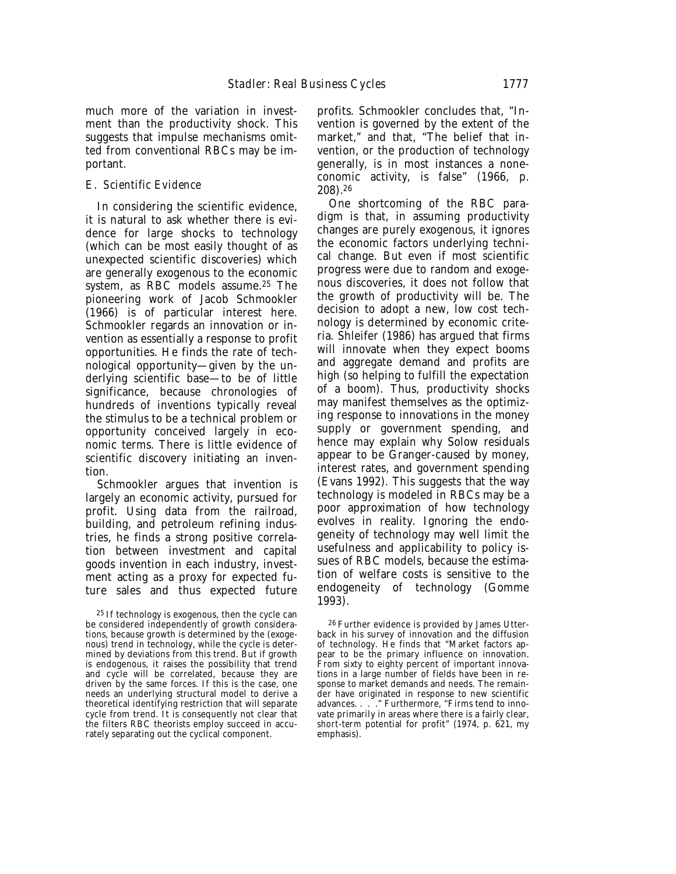much more of the variation in investment than the productivity shock. This suggests that impulse mechanisms omitted from conventional RBCs may be important.

#### E. *Scientific Evidence*

In considering the scientific evidence, it is natural to ask whether there is evidence for large shocks to technology (which can be most easily thought of as unexpected scientific discoveries) which are generally exogenous to the economic system, as RBC models assume.25 The pioneering work of Jacob Schmookler (1966) is of particular interest here. Schmookler regards an innovation or invention as essentially a response to profit opportunities. He finds the rate of technological opportunity—given by the underlying scientific base—to be of little significance, because chronologies of hundreds of inventions typically reveal the stimulus to be a technical problem or opportunity conceived largely in economic terms. There is little evidence of scientific discovery initiating an invention.

Schmookler argues that invention is largely an economic activity, pursued for profit. Using data from the railroad, building, and petroleum refining industries, he finds a strong positive correlation between investment and capital goods invention in each industry, investment acting as a proxy for expected future sales and thus expected future

profits. Schmookler concludes that, "Invention is governed by the extent of the market," and that, "The belief that invention, or the production of technology generally, is in most instances a noneconomic activity, is false" (1966, p. 208).26

One shortcoming of the RBC paradigm is that, in assuming productivity changes are purely exogenous, it ignores the economic factors underlying technical change. But even if most scientific progress were due to random and exogenous discoveries, it does not follow that the growth of productivity will be. The decision to adopt a new, low cost technology is determined by economic criteria. Shleifer (1986) has argued that firms will innovate when they expect booms and aggregate demand and profits are high (so helping to fulfill the expectation of a boom). Thus, productivity shocks may manifest themselves as the optimizing response to innovations in the money supply or government spending, and hence may explain why Solow residuals appear to be Granger-caused by money, interest rates, and government spending (Evans 1992). This suggests that the way technology is modeled in RBCs may be a poor approximation of how technology evolves in reality. Ignoring the endogeneity of technology may well limit the usefulness and applicability to policy issues of RBC models, because the estimation of welfare costs is sensitive to the endogeneity of technology (Gomme 1993).

26 Further evidence is provided by James Utterback in his survey of innovation and the diffusion of technology. He finds that "Market factors appear to be the primary influence on innovation. From sixty to eighty percent of important innovations in a large number of fields have been in response to market demands and needs. The remainder have originated in response to new scientific advances. . . . . "." Furthermore, "Firms tend to innovate primarily in areas where there is a fairly clear, *short-term* potential for profit" (1974, p. 621, my emphasis).

<sup>25</sup> If technology is exogenous, then the cycle can be considered independently of growth considerations, because growth is determined by the (exogenous) trend in technology, while the cycle is determined by deviations from this trend. But if growth is endogenous, it raises the possibility that trend and cycle will be correlated, because they are driven by the same forces. If this is the case, one needs an underlying structural model to derive a theoretical identifying restriction that will separate cycle from trend. It is consequently not clear that the filters RBC theorists employ succeed in accurately separating out the cyclical component.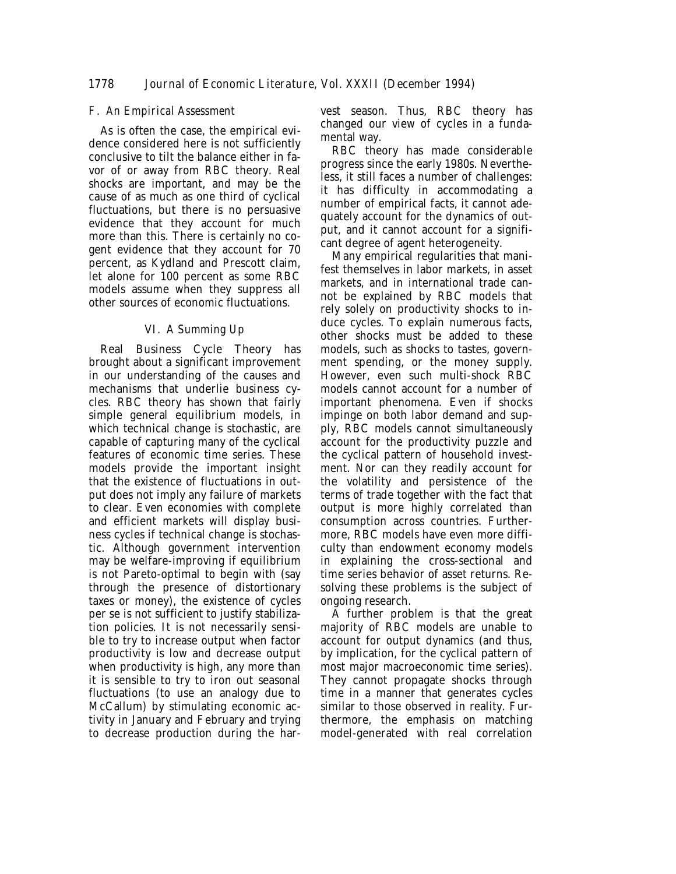# F. *An Empirical Assessment*

As is often the case, the empirical evidence considered here is not sufficiently conclusive to tilt the balance either in favor of or away from RBC theory. Real shocks are important, and may be the cause of as much as one third of cyclical fluctuations, but there is no persuasive evidence that they account for much more than this. There is certainly no cogent evidence that they account for 70 percent, as Kydland and Prescott claim, let alone for 100 percent as some RBC models assume when they suppress all other sources of economic fluctuations.

# VI. *A Summing Up*

Real Business Cycle Theory has brought about a significant improvement in our understanding of the causes and mechanisms that underlie business cycles. RBC theory has shown that fairly simple general equilibrium models, in which technical change is stochastic, are capable of capturing many of the cyclical features of economic time series. These models provide the important insight that the existence of fluctuations in output does not imply any failure of markets to clear. Even economies with complete and efficient markets will display business cycles if technical change is stochastic. Although government intervention may be welfare-improving if equilibrium is not Pareto-optimal to begin with (say through the presence of distortionary taxes or money), the existence of cycles per se is not sufficient to justify stabilization policies. It is not necessarily sensible to try to increase output when factor productivity is low and decrease output when productivity is high, any more than it is sensible to try to iron out seasonal fluctuations (to use an analogy due to McCallum) by stimulating economic activity in January and February and trying to decrease production during the harvest season. Thus, RBC theory has changed our view of cycles in a fundamental way.

RBC theory has made considerable progress since the early 1980s. Nevertheless, it still faces a number of challenges: it has difficulty in accommodating a number of empirical facts, it cannot adequately account for the dynamics of output, and it cannot account for a significant degree of agent heterogeneity.

Many empirical regularities that manifest themselves in labor markets, in asset markets, and in international trade cannot be explained by RBC models that rely solely on productivity shocks to induce cycles. To explain numerous facts, other shocks must be added to these models, such as shocks to tastes, government spending, or the money supply. However, even such multi-shock RBC models cannot account for a number of important phenomena. Even if shocks impinge on both labor demand and supply, RBC models cannot simultaneously account for the productivity puzzle and the cyclical pattern of household investment. Nor can they readily account for the volatility and persistence of the terms of trade together with the fact that output is more highly correlated than consumption across countries. Furthermore, RBC models have even more difficulty than endowment economy models in explaining the cross-sectional and time series behavior of asset returns. Resolving these problems is the subject of ongoing research.

A further problem is that the great majority of RBC models are unable to account for output dynamics (and thus, by implication, for the cyclical pattern of most major macroeconomic time series). They cannot propagate shocks through time in a manner that generates cycles similar to those observed in reality. Furthermore, the emphasis on matching model-generated with real correlation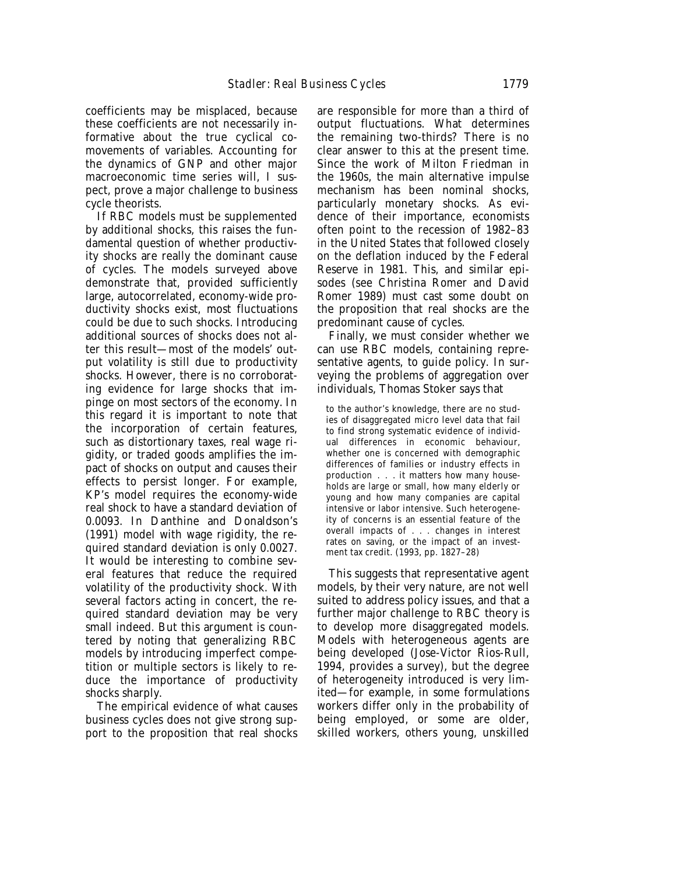coefficients may be misplaced, because these coefficients are not necessarily informative about the true cyclical comovements of variables. Accounting for the dynamics of GNP and other major macroeconomic time series will, I suspect, prove a major challenge to business cycle theorists.

If RBC models must be supplemented by additional shocks, this raises the fundamental question of whether productivity shocks are really the dominant cause of cycles. The models surveyed above demonstrate that, provided sufficiently large, autocorrelated, economy-wide productivity shocks exist, most fluctuations could be due to such shocks. Introducing additional sources of shocks does not alter this result—most of the models' output volatility is still due to productivity shocks. However, there is no corroborating evidence for large shocks that impinge on most sectors of the economy. In this regard it is important to note that the incorporation of certain features, such as distortionary taxes, real wage rigidity, or traded goods amplifies the impact of shocks on output and causes their effects to persist longer. For example, KP's model requires the economy-wide real shock to have a standard deviation of 0.0093. In Danthine and Donaldson's (1991) model with wage rigidity, the required standard deviation is only 0.0027. It would be interesting to combine several features that reduce the required volatility of the productivity shock. With several factors acting in concert, the required standard deviation may be very small indeed. But this argument is countered by noting that generalizing RBC models by introducing imperfect competition or multiple sectors is likely to reduce the importance of productivity shocks sharply.

The empirical evidence of what causes business cycles does not give strong support to the proposition that real shocks are responsible for more than a third of output fluctuations. What determines the remaining two-thirds? There is no clear answer to this at the present time. Since the work of Milton Friedman in the 1960s, the main alternative impulse mechanism has been nominal shocks, particularly monetary shocks. As evidence of their importance, economists often point to the recession of 1982–83 in the United States that followed closely on the deflation induced by the Federal Reserve in 1981. This, and similar episodes (see Christina Romer and David Romer 1989) must cast some doubt on the proposition that real shocks are the predominant cause of cycles.

Finally, we must consider whether we can use RBC models, containing representative agents, to guide policy. In surveying the problems of aggregation over individuals, Thomas Stoker says that

to the author's knowledge, there are no studies of disaggregated micro level data that fail to find strong systematic evidence of individual differences in economic behaviour, whether one is concerned with demographic differences of families or industry effects in production . . . it matters how many households are large or small, how many elderly or young and how many companies are capital intensive or labor intensive. Such heterogeneity of concerns is an essential feature of the overall impacts of . . . changes in interest rates on saving, or the impact of an investment tax credit. (1993, pp. 1827–28)

This suggests that representative agent models, by their very nature, are not well suited to address policy issues, and that a further major challenge to RBC theory is to develop more disaggregated models. Models with heterogeneous agents are being developed (Jose-Victor Rios-Rull, 1994, provides a survey), but the degree of heterogeneity introduced is very limited—for example, in some formulations workers differ only in the probability of being employed, or some are older, skilled workers, others young, unskilled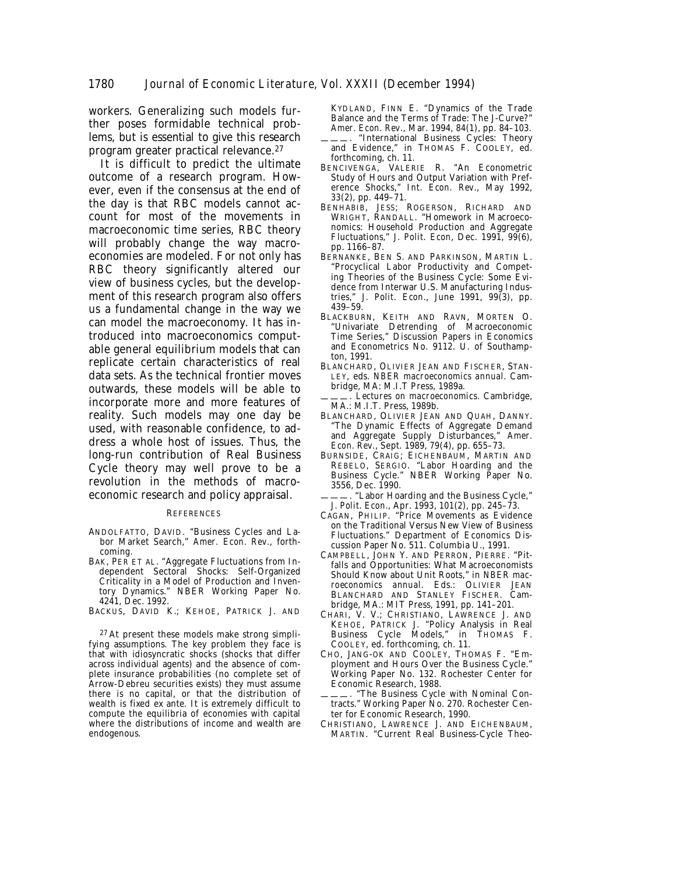workers. Generalizing such models further poses formidable technical problems, but is essential to give this research program greater practical relevance.27

It is difficult to predict the ultimate outcome of a research program. However, even if the consensus at the end of the day is that RBC models cannot account for most of the movements in macroeconomic time series, RBC theory will probably change the way macroeconomies are modeled. For not only has RBC theory significantly altered our view of business cycles, but the development of this research program also offers us a fundamental change in the way we can model the macroeconomy. It has introduced into macroeconomics computable general equilibrium models that can replicate certain characteristics of real data sets. As the technical frontier moves outwards, these models will be able to incorporate more and more features of reality. Such models may one day be used, with reasonable confidence, to address a whole host of issues. Thus, the long-run contribution of Real Business Cycle theory may well prove to be a revolution in the methods of macroeconomic research and policy appraisal.

#### **REFERENCES**

- ANDOLFATTO, DAVID. "Business Cycles and Labor Market Search," *Amer. Econ. Rev*., forthcoming.
- BAK, PER ET AL. "Aggregate Fluctuations from Independent Sectoral Shocks: Self-Organized Criticality in a Model of Production and Inventory Dynamics." NBER Working Paper No. 4241, Dec. 1992.

BACKUS, DAVID K.; KEHOE, PATRICK J. AND

27 At present these models make strong simplifying assumptions. The key problem they face is that with idiosyncratic shocks (shocks that differ across individual agents) and the absence of complete insurance probabilities (no complete set of Arrow-Debreu securities exists) they must assume there is no capital, or that the distribution of wealth is fixed ex ante. It is extremely difficult to compute the equilibria of economies with capital where the distributions of income and wealth are endogenous.

KYDLAND, FINN E. "Dynamics of the Trade Balance and the Terms of Trade: The J-Curve?" *Amer. Econ. Rev*., Mar. 1994, *84*(1), pp. 84–103.

- "International Business Cycles: Theory and Evidence," in THOMAS F. COOLEY, ed. forthcoming, ch. 11.
- BENCIVENGA, VALERIE R. "An Econometric Study of Hours and Output Variation with Preference Shocks," *Int. Econ. Rev*., May 1992, *33*(2), pp. 449–71.
- BENHABIB, JESS; ROGERSON, RICHARD AND WRIGHT, RANDALL. "Homework in Macroeconomics: Household Production and Aggregate Fluctuations," *J. Polit. Econ*, Dec. 1991, *99*(6), pp. 1166–87.
- BERNANKE, BEN S. AND PARKINSON, MARTIN L. "Procyclical Labor Productivity and Competing Theories of the Business Cycle: Some Evidence from Interwar U.S. Manufacturing Industries," *J. Polit. Econ*., June 1991, *99*(3), pp. 439–59.
- BLACKBURN, KEITH AND RAVN, MORTEN O. "Univariate Detrending of Macroeconomic Time Series," Discussion Papers in Economics and Econometrics No. 9112. U. of Southampton, 1991.
- BLANCHARD, OLIVIER JEAN AND FISCHER, STAN-LEY, eds. *NBER macroeconomics annual*. Cambridge, MA: M.I.T Press, 1989a.
- ———. *Lectures on macroeconomics*. Cambridge, MA.: M.I.T. Press, 1989b.
- BLANCHARD, OLIVIER JEAN AND QUAH, DANNY. "The Dynamic Effects of Aggregate Demand and Aggregate Supply Disturbances," *Amer. Econ. Rev*., Sept. 1989, *79*(4), pp. 655–73.
- BURNSIDE, CRAIG; EICHENBAUM, MARTIN AND REBELO, SERGIO. "Labor Hoarding and the Business Cycle." NBER Working Paper No. 3556, Dec. 1990.
- "Labor Hoarding and the Business Cycle," *J. Polit. Econ*., Apr. 1993, *101*(2), pp. 245–73.
- CAGAN, PHILIP. "Price Movements as Evidence on the Traditional Versus New View of Business Fluctuations." Department of Economics Discussion Paper No. 511. Columbia U., 1991.
- CAMPBELL, JOHN Y. AND PERRON, PIERRE. "Pitfalls and Opportunities: What Macroeconomists Should Know about Unit Roots," in *NBER macroeconomics annual*. Eds.: OLIVIER JEAN BLANCHARD AND STANLEY FISCHER*.* Cambridge, MA.: MIT Press, 1991, pp. 141–201.
- CHARI, V. V.; CHRISTIANO, LAWRENCE J. AND KEHOE, PATRICK J. "Policy Analysis in Real Business Cycle Models," in THOMAS F. COOLEY*,* ed. forthcoming, ch. 11.
- CHO, JANG-OK AND COOLEY, THOMAS F. "Employment and Hours Over the Business Cycle." Working Paper No. 132. Rochester Center for Economic Research, 1988.
- . "The Business Cycle with Nominal Contracts." Working Paper No. 270. Rochester Center for Economic Research, 1990.
- CHRISTIANO, LAWRENCE J. AND EICHENBAUM, MARTIN. "Current Real Business-Cycle Theo-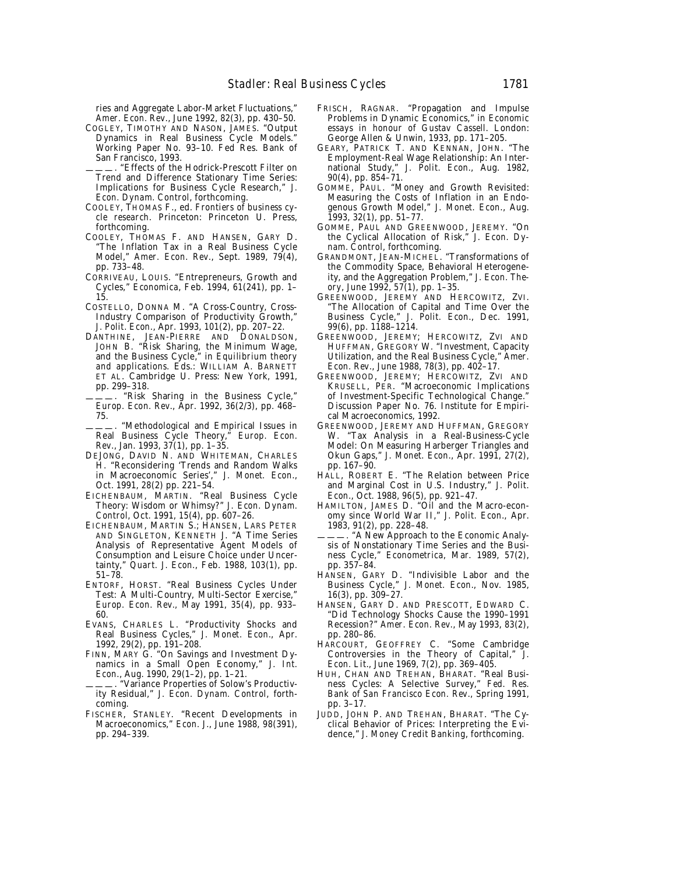ries and Aggregate Labor-Market Fluctuations," *Amer. Econ. Rev*., June 1992, *82*(3), pp. 430–50.

COGLEY, TIMOTHY AND NASON, JAMES. "Output Dynamics in Real Business Cycle Models." Working Paper No. 93–10. Fed Res. Bank of San Francisco, 1993.

"Effects of the Hodrick-Prescott Filter on Trend and Difference Stationary Time Series: Implications for Business Cycle Research," *J. Econ. Dynam. Control*, forthcoming.

- COOLEY, THOMAS F., ed. *Frontiers of business cycle research*. Princeton: Princeton U. Press, forthcoming.
- COOLEY, THOMAS F. AND HANSEN, GARY D. "The Inflation Tax in a Real Business Cycle Model," *Amer. Econ. Rev*., Sept. 1989, *79*(4), pp. 733–48.
- CORRIVEAU, LOUIS. "Entrepreneurs, Growth and Cycles," *Economica*, Feb. 1994, *61*(241), pp. 1– 15.
- COSTELLO, DONNA M. "A Cross-Country, Cross-Industry Comparison of Productivity Growth," *J. Polit. Econ*., Apr. 1993, *101*(2), pp. 207–22.
- DANTHINE, JEAN-PIERRE AND DONALDSON, JOHN B. "Risk Sharing, the Minimum Wage, and the Business Cycle," in *Equilibrium theory and applications*. Eds.: WILLIAM A. BARNETT ET AL. Cambridge U. Press: New York, 1991, pp. 299–318.
- ———. "Risk Sharing in the Business Cycle," *Europ. Econ. Rev*., Apr. 1992, *36*(2/3), pp. 468– 75.
- "Methodological and Empirical Issues in Real Business Cycle Theory," *Europ. Econ. Rev*., Jan. 1993, *37*(1), pp. 1–35.
- DEJONG, DAVID N. AND WHITEMAN, CHARLES H. "Reconsidering 'Trends and Random Walks in Macroeconomic Series'," *J. Monet. Econ*., Oct. 1991, *28*(2) pp. 221–54.
- EICHENBAUM, MARTIN. "Real Business Cycle Theory: Wisdom or Whimsy?" *J. Econ. Dynam. Control*, Oct. 1991, *15*(4), pp. 607–26.
- EICHENBAUM, MARTIN S.; HANSEN, LARS PETER AND SINGLETON, KENNETH J. "A Time Series Analysis of Representative Agent Models of Consumption and Leisure Choice under Uncertainty," *Quart. J. Econ*., Feb. 1988, *103*(1), pp. 51–78.
- ENTORF, HORST. "Real Business Cycles Under Test: A Multi-Country, Multi-Sector Exercise," *Europ. Econ. Rev.,* May 1991, *35*(4), pp. 933– 60.
- EVANS, CHARLES L. "Productivity Shocks and Real Business Cycles," *J. Monet. Econ*., Apr. 1992, *29*(2), pp. 191–208.
- FINN, MARY G. "On Savings and Investment Dynamics in a Small Open Economy," *J. Int. Econ*., Aug. 1990, *29*(1–2), pp. 1–21.
- ———. "Variance Properties of Solow's Productivity Residual," *J. Econ. Dynam. Control*, forthcoming.
- FISCHER, STANLEY. "Recent Developments in Macroeconomics," *Econ. J*., June 1988, *98*(391), pp. 294–339.
- FRISCH, RAGNAR. "Propagation and Impulse Problems in Dynamic Economics," in *Economic essays in honour of Gustav Cassell*. London: George Allen & Unwin, 1933, pp. 171–205.
- GEARY, PATRICK T. AND KENNAN, JOHN. "The Employment-Real Wage Relationship: An International Study," *J. Polit. Econ*., Aug. 1982, *90*(4), pp. 854–71.
- GOMME, PAUL. "Money and Growth Revisited: Measuring the Costs of Inflation in an Endogenous Growth Model," *J. Monet. Econ*., Aug. 1993, 32(1), pp. 51–77.
- GOMME, PAUL AND GREENWOOD, JEREMY. "On the Cyclical Allocation of Risk," *J. Econ. Dynam. Control*, forthcoming.
- GRANDMONT, JEAN-MICHEL. "Transformations of the Commodity Space, Behavioral Heterogeneity, and the Aggregation Problem," *J. Econ. Theory*, June 1992, *57*(1), pp. 1–35.
- GREENWOOD, JEREMY AND HERCOWITZ, ZVI. "The Allocation of Capital and Time Over the Business Cycle," *J. Polit. Econ*., Dec. 1991, *99*(6), pp. 1188–1214.
- GREENWOOD, JEREMY; HERCOWITZ, ZVI AND HUFFMAN, GREGORY W. "Investment, Capacity Utilization, and the Real Business Cycle," *Amer. Econ. Rev*., June 1988, *78*(3), pp. 402–17.
- GREENWOOD, JEREMY; HERCOWITZ, ZVI AND KRUSELL, PER. "Macroeconomic Implications of Investment-Specific Technological Change." Discussion Paper No. 76. Institute for Empirical Macroeconomics, 1992.
- GREENWOOD, JEREMY AND HUFFMAN, GREGORY W. "Tax Analysis in a Real-Business-Cycle Model: On Measuring Harberger Triangles and Okun Gaps," *J. Monet. Econ*., Apr. 1991, *27*(2), pp. 167–90.
- HALL, ROBERT E. "The Relation between Price and Marginal Cost in U.S. Industry," *J. Polit. Econ*., Oct. 1988, *96*(5), pp. 921–47.
- HAMILTON, JAMES D. "Oil and the Macro-economy since World War II," *J. Polit. Econ*., Apr. 1983, *91*(2), pp. 228–48.
- "A New Approach to the Economic Analysis of Nonstationary Time Series and the Business Cycle," *Econometrica*, Mar. 1989, *57*(2), pp. 357–84.
- HANSEN, GARY D. "Indivisible Labor and the Business Cycle," *J. Monet. Econ*., Nov. 1985, *16*(3), pp. 309–27.
- HANSEN, GARY D. AND PRESCOTT, EDWARD C. "Did Technology Shocks Cause the 1990–1991 Recession?" *Amer. Econ. Rev*., May 1993, *83*(2), pp. 280–86.
- HARCOURT, GEOFFREY C. "Some Cambridge Controversies in the Theory of Capital," *J. Econ. Lit*., June 1969, *7*(2), pp. 369–405.
- HUH, CHAN AND TREHAN, BHARAT. "Real Business Cycles: A Selective Survey," *Fed. Res. Bank of San Francisco Econ. Rev*., Spring 1991, pp. 3–17.
- JUDD, JOHN P. AND TREHAN, BHARAT. "The Cyclical Behavior of Prices: Interpreting the Evidence," *J. Money Credit Banking*, forthcoming.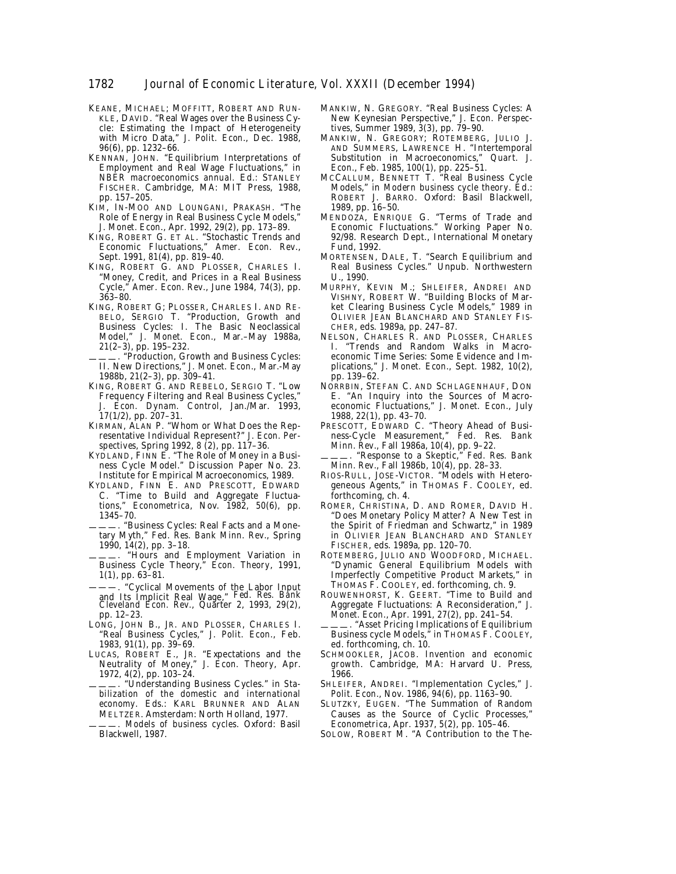- KEANE, MICHAEL; MOFFITT, ROBERT AND RUN-KLE, DAVID. "Real Wages over the Business Cycle: Estimating the Impact of Heterogeneity with Micro Data," *J. Polit. Econ*., Dec. 1988, *96*(6), pp. 1232–66.
- KENNAN, JOHN. "Equilibrium Interpretations of Employment and Real Wage Fluctuations," in *NBER macroeconomics annual.* Ed.: STANLEY FISCHER. Cambridge, MA: MIT Press, 1988, pp. 157–205.
- KIM, IN-MOO AND LOUNGANI, PRAKASH. "The Role of Energy in Real Business Cycle Models," *J. Monet. Econ*., Apr. 1992, *29*(2), pp. 173–89.
- KING, ROBERT G. ET AL. "Stochastic Trends and Economic Fluctuations," *Amer. Econ. Rev*., Sept. 1991, *81*(4), pp. 819–40.
- KING, ROBERT G. AND PLOSSER, CHARLES I. "Money, Credit, and Prices in a Real Business Cycle," *Amer. Econ. Rev*., June 1984, *74*(3), pp. 363–80.
- KING, ROBERT G; PLOSSER, CHARLES I. AND RE-BELO, SERGIO T. "Production, Growth and Business Cycles: I. The Basic Neoclassical Model," *J. Monet. Econ*., Mar.–May 1988a, *21*(2–3), pp. 195–232.
- ———. "Production, Growth and Business Cycles: II. New Directions," *J. Monet. Econ*., Mar.-May 1988b, *21*(2–3), pp. 309–41.
- KING, ROBERT G. AND REBELO, SERGIO T. "Low Frequency Filtering and Real Business Cycles," *J. Econ. Dynam. Control*, Jan./Mar. 1993, *17*(1/2), pp. 207–31.
- KIRMAN, ALAN P. "Whom or What Does the Representative Individual Represent?" *J. Econ. Perspectives*, Spring 1992, *8* (2), pp. 117–36.
- KYDLAND, FINN E. "The Role of Money in a Business Cycle Model." Discussion Paper No. 23. Institute for Empirical Macroeconomics, 1989.
- KYDLAND, FINN E. AND PRESCOTT, EDWARD C. "Time to Build and Aggregate Fluctuations," *Econometrica*, Nov. 1982, 50(6), pp. 1345–70.
- ———. "Business Cycles: Real Facts and a Monetary Myth," *Fed. Res. Bank Minn. Rev*., Spring 1990, *14*(2), pp. 3–18.
- ———. "Hours and Employment Variation in Business Cycle Theory," *Econ. Theory*, 1991, *1*(1), pp. 63–81.
- ———. "Cyclical Movements of the Labor Input and Its Implicit Real Wage," *Fed. Res. Bank Cleveland Econ. Rev.*, Quarter 2, 1993, *29*(2), pp. 12–23.
- LONG, JOHN B., JR. AND PLOSSER, CHARLES I. "Real Business Cycles," *J. Polit. Econ*., Feb. 1983, *91*(1), pp. 39–69.
- LUCAS, ROBERT E., JR. "Expectations and the Neutrality of Money," *J. Econ. Theory*, Apr. 1972, *4*(2), pp. 103–24.
- ———. "Understanding Business Cycles." in *Stabilization of the domestic and international economy*. Eds.: KARL BRUNNER AND ALAN MELTZER. Amsterdam: North Holland, 1977.
- ———. *Models of business cycles*. Oxford: Basil Blackwell, 1987.
- MANKIW, N. GREGORY. "Real Business Cycles: A New Keynesian Perspective," *J. Econ. Perspectives*, Summer 1989, *3*(3), pp. 79–90.
- MANKIW, N. GREGORY; ROTEMBERG, JULIO J. AND SUMMERS, LAWRENCE H. "Intertemporal Substitution in Macroeconomics," *Quart. J. Econ*., Feb. 1985, *100*(1), pp. 225–51.
- MCCALLUM, BENNETT T. "Real Business Cycle Models," in *Modern business cycle theory*. Ed.: ROBERT J. BARRO. Oxford: Basil Blackwell, 1989, pp. 16–50.
- MENDOZA, ENRIQUE G. "Terms of Trade and Economic Fluctuations." Working Paper No. 92/98. Research Dept., International Monetary Fund, 1992.
- MORTENSEN, DALE, T. "Search Equilibrium and Real Business Cycles." Unpub. Northwestern U., 1990.
- MURPHY, KEVIN M.; SHLEIFER, ANDREI AND VISHNY, ROBERT W. "Building Blocks of Market Clearing Business Cycle Models," 1989 in OLIVIER JEAN BLANCHARD AND STANLEY FIS-CHER, eds. 1989a, pp. 247–87.
- NELSON, CHARLES R. AND PLOSSER, CHARLES I. "Trends and Random Walks in Macroeconomic Time Series: Some Evidence and Implications," *J. Monet. Econ*., Sept. 1982, *10*(2), pp. 139–62.
- NORRBIN, STEFAN C. AND SCHLAGENHAUF, DON E. "An Inquiry into the Sources of Macroeconomic Fluctuations," *J. Monet. Econ*., July 1988, *22*(1), pp. 43–70.
- PRESCOTT, EDWARD C. "Theory Ahead of Business-Cycle Measurement," *Fed. Res. Bank Minn. Rev*., Fall 1986a, *10*(4), pp. 9–22.
- ———. "Response to a Skeptic," *Fed. Res. Bank Minn. Rev*., Fall 1986b, *10*(4), pp. 28–33.
- RIOS-RULL, JOSE-VICTOR. "Models with Heterogeneous Agents," in THOMAS F. COOLEY, ed. forthcoming, ch. 4.
- ROMER, CHRISTINA, D. AND ROMER, DAVID H. "Does Monetary Policy Matter? A New Test in the Spirit of Friedman and Schwartz," in 1989 in OLIVIER JEAN BLANCHARD AND STANLEY FISCHER, eds. 1989a, pp. 120–70.
- ROTEMBERG, JULIO AND WOODFORD, MICHAEL. "Dynamic General Equilibrium Models with Imperfectly Competitive Product Markets," in THOMAS F. COOLEY, ed. forthcoming, ch. 9.
- ROUWENHORST, K. GEERT. "Time to Build and Aggregate Fluctuations: A Reconsideration," *J. Monet. Econ*., Apr. 1991, *27*(2), pp. 241–54.
- ———. "Asset Pricing Implications of Equilibrium Business cycle Models," in THOMAS F. COOLEY, ed. forthcoming, ch. 10.
- SCHMOOKLER, JACOB. *Invention and economic growth*. Cambridge, MA: Harvard U. Press, 1966.
- SHLEIFER, ANDREI. "Implementation Cycles," *J. Polit. Econ*., Nov. 1986, *94*(6), pp. 1163–90.
- SLUTZKY, EUGEN. "The Summation of Random Causes as the Source of Cyclic Processes," *Econometrica*, Apr. 1937, *5*(2), pp. 105–46.
- SOLOW, ROBERT M. "A Contribution to the The-